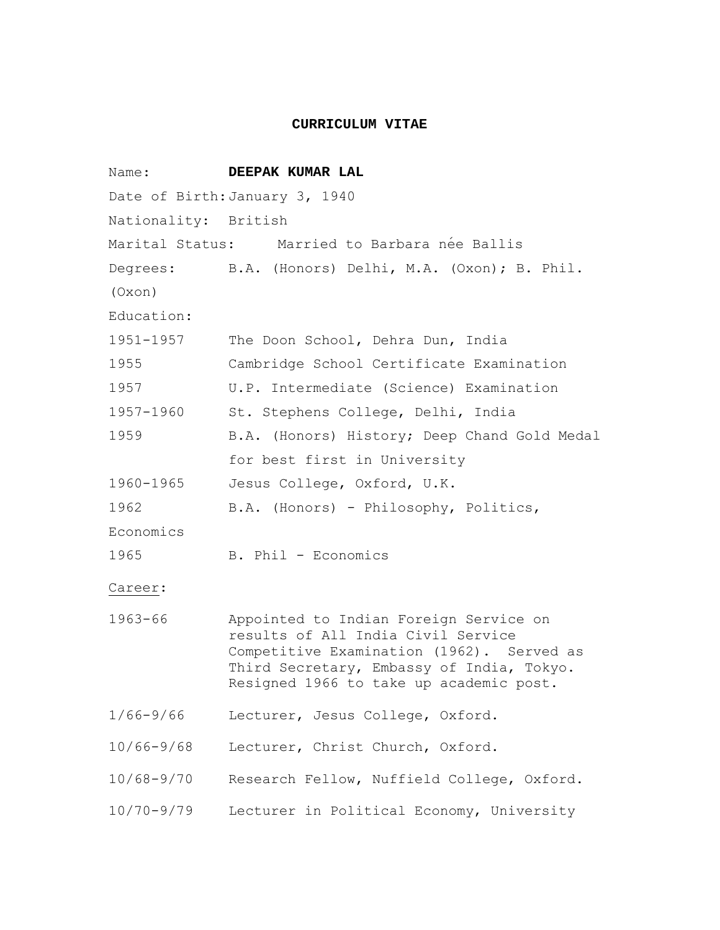#### **CURRICULUM VITAE**

Name: **DEEPAK KUMAR LAL** Date of Birth: January 3, 1940 Nationality: British Marital Status: Married to Barbara née Ballis Degrees: B.A. (Honors) Delhi, M.A. (Oxon); B. Phil. (Oxon) Education: 1951-1957 The Doon School, Dehra Dun, India 1955 Cambridge School Certificate Examination 1957 U.P. Intermediate (Science) Examination 1957-1960 St. Stephens College, Delhi, India 1959 B.A. (Honors) History; Deep Chand Gold Medal for best first in University 1960-1965 Jesus College, Oxford, U.K. 1962 B.A. (Honors) - Philosophy, Politics, Economics 1965 B. Phil - Economics Career: 1963-66 Appointed to Indian Foreign Service on results of All India Civil Service Competitive Examination (1962). Served as Third Secretary, Embassy of India, Tokyo. Resigned 1966 to take up academic post. 1/66-9/66 Lecturer, Jesus College, Oxford. 10/66-9/68 Lecturer, Christ Church, Oxford. 10/68-9/70 Research Fellow, Nuffield College, Oxford. 10/70-9/79 Lecturer in Political Economy, University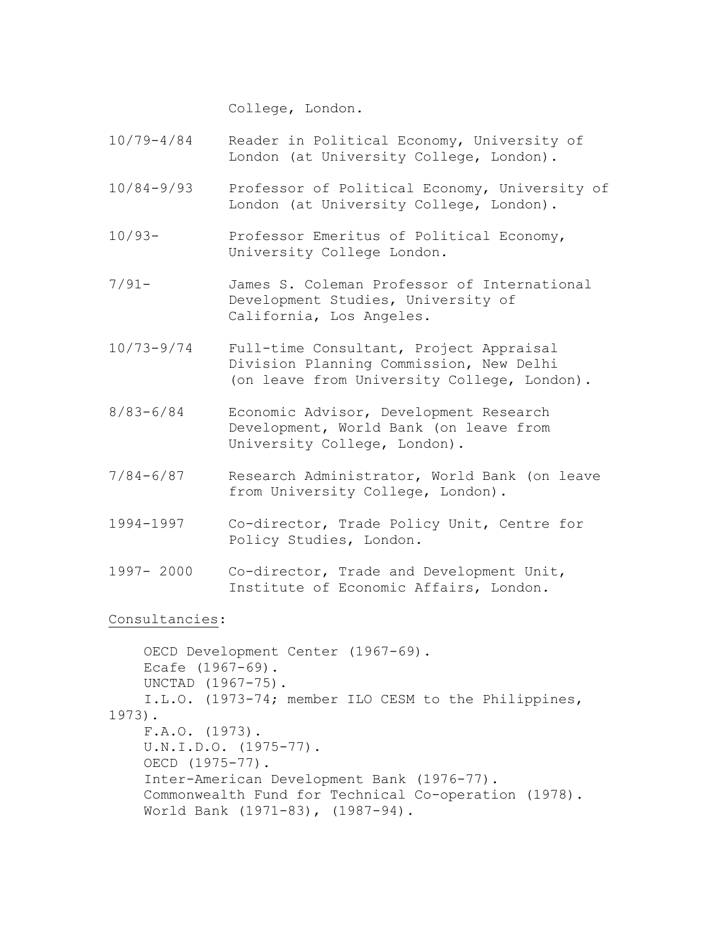College, London.

- 10/79-4/84 Reader in Political Economy, University of London (at University College, London).
- 10/84-9/93 Professor of Political Economy, University of London (at University College, London).
- 10/93- Professor Emeritus of Political Economy, University College London.
- 7/91- James S. Coleman Professor of International Development Studies, University of California, Los Angeles.
- 10/73-9/74 Full-time Consultant, Project Appraisal Division Planning Commission, New Delhi (on leave from University College, London).
- 8/83-6/84 Economic Advisor, Development Research Development, World Bank (on leave from University College, London).
- 7/84-6/87 Research Administrator, World Bank (on leave from University College, London).
- 1994-1997 Co-director, Trade Policy Unit, Centre for Policy Studies, London.
- 1997- 2000 Co-director, Trade and Development Unit, Institute of Economic Affairs, London.

Consultancies:

```
 OECD Development Center (1967-69). 
     Ecafe (1967-69). 
     UNCTAD (1967-75). 
     I.L.O. (1973-74; member ILO CESM to the Philippines, 
1973). 
     F.A.O. (1973). 
     U.N.I.D.O. (1975-77). 
     OECD (1975-77). 
     Inter-American Development Bank (1976-77). 
     Commonwealth Fund for Technical Co-operation (1978). 
     World Bank (1971-83), (1987-94).
```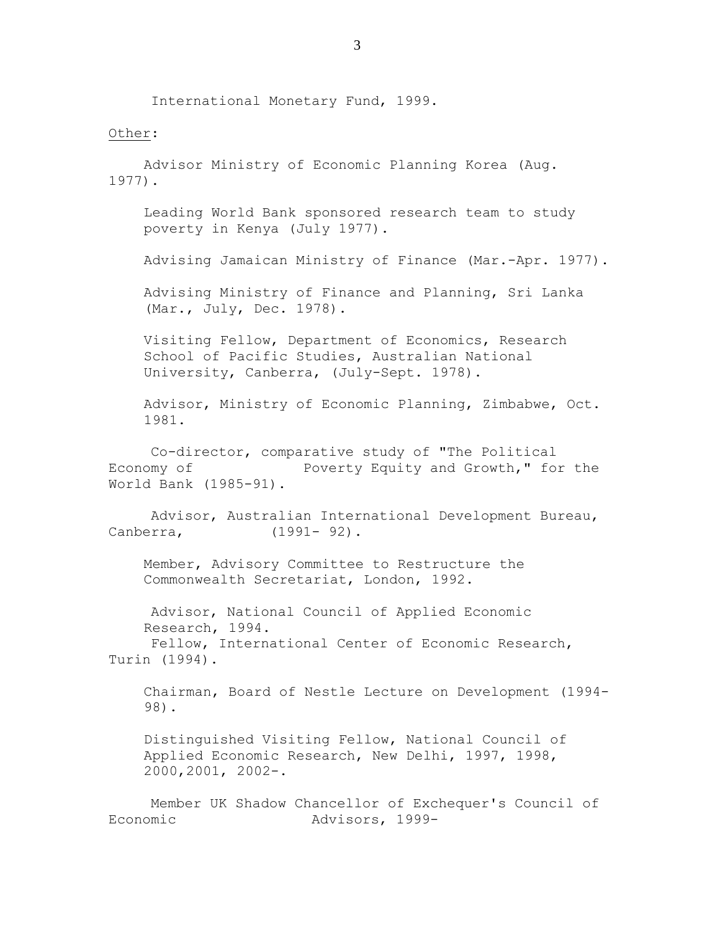International Monetary Fund, 1999.

#### Other:

 Advisor Ministry of Economic Planning Korea (Aug. 1977).

Leading World Bank sponsored research team to study poverty in Kenya (July 1977).

Advising Jamaican Ministry of Finance (Mar.-Apr. 1977).

Advising Ministry of Finance and Planning, Sri Lanka (Mar., July, Dec. 1978).

Visiting Fellow, Department of Economics, Research School of Pacific Studies, Australian National University, Canberra, (July-Sept. 1978).

Advisor, Ministry of Economic Planning, Zimbabwe, Oct. 1981.

 Co-director, comparative study of "The Political Economy of Poverty Equity and Growth," for the World Bank (1985-91).

 Advisor, Australian International Development Bureau, Canberra, (1991- 92).

Member, Advisory Committee to Restructure the Commonwealth Secretariat, London, 1992.

 Advisor, National Council of Applied Economic Research, 1994.

 Fellow, International Center of Economic Research, Turin (1994).

Chairman, Board of Nestle Lecture on Development (1994- 98).

Distinguished Visiting Fellow, National Council of Applied Economic Research, New Delhi, 1997, 1998, 2000,2001, 2002-.

 Member UK Shadow Chancellor of Exchequer's Council of Economic Advisors, 1999-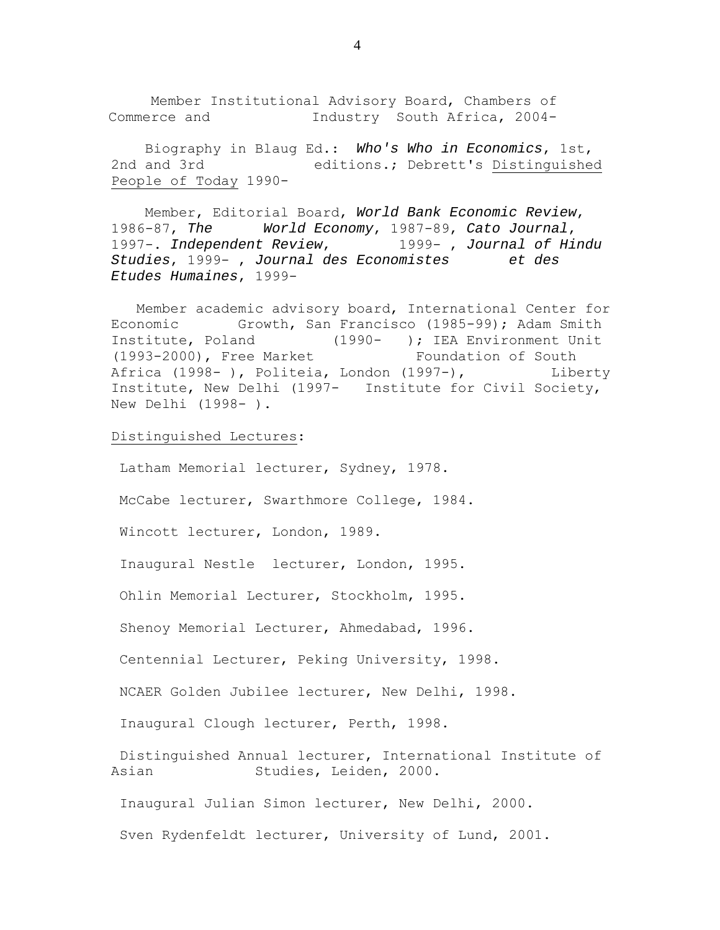Member Institutional Advisory Board, Chambers of Commerce and Industry South Africa, 2004-

 Biography in Blaug Ed.: *Who's Who in Economics*, 1st, 2nd and 3rd editions.; Debrett's Distinguished People of Today 1990-

 Member, Editorial Board, *World Bank Economic Review*, 1986-87, *The World Economy*, 1987-89, *Cato Journal*, 1997-. *Independent Review*, 1999- , *Journal of Hindu Studies*, 1999- , *Journal des Economistes et des Etudes Humaines*, 1999-

 Member academic advisory board, International Center for Economic Growth, San Francisco (1985-99); Adam Smith Institute, Poland (1990- ); IEA Environment Unit (1993-2000), Free Market Foundation of South Africa (1998- ), Politeia, London (1997-), Liberty Institute, New Delhi (1997- Institute for Civil Society, New Delhi (1998- ).

Distinguished Lectures:

 Latham Memorial lecturer, Sydney, 1978. McCabe lecturer, Swarthmore College, 1984. Wincott lecturer, London, 1989. Inaugural Nestle lecturer, London, 1995. Ohlin Memorial Lecturer, Stockholm, 1995. Shenoy Memorial Lecturer, Ahmedabad, 1996. Centennial Lecturer, Peking University, 1998. NCAER Golden Jubilee lecturer, New Delhi, 1998. Inaugural Clough lecturer, Perth, 1998. Distinguished Annual lecturer, International Institute of Asian Studies, Leiden, 2000. Inaugural Julian Simon lecturer, New Delhi, 2000. Sven Rydenfeldt lecturer, University of Lund, 2001.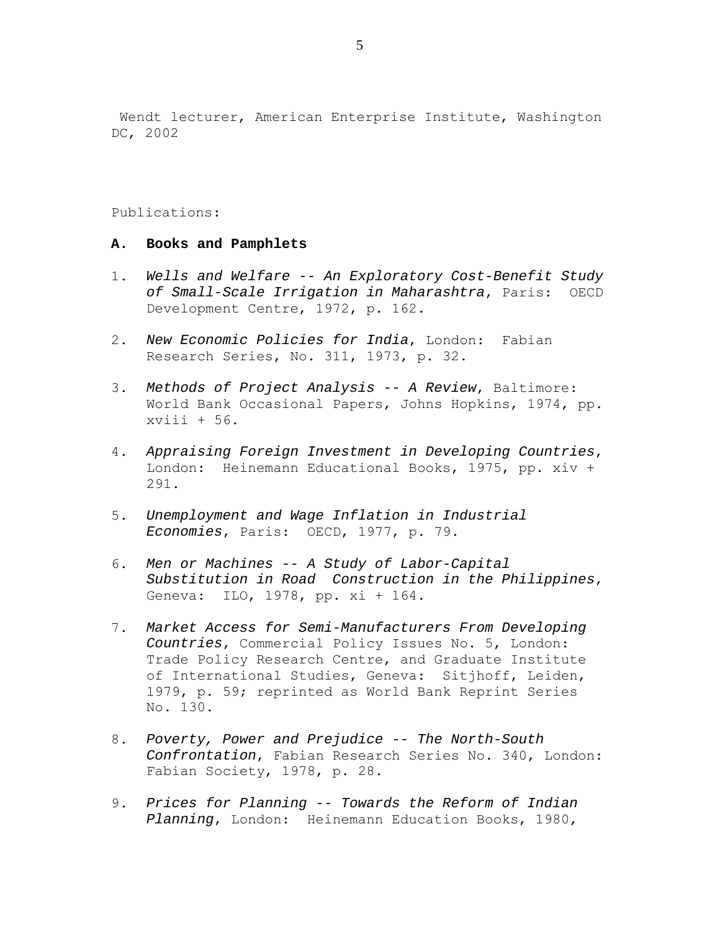Wendt lecturer, American Enterprise Institute, Washington DC, 2002

Publications:

### **A. Books and Pamphlets**

- 1. *Wells and Welfare -- An Exploratory Cost-Benefit Study of Small-Scale Irrigation in Maharashtra*, Paris: OECD Development Centre, 1972, p. 162.
- 2. *New Economic Policies for India*, London: Fabian Research Series, No. 311, 1973, p. 32.
- 3. *Methods of Project Analysis -- A Review*, Baltimore: World Bank Occasional Papers, Johns Hopkins, 1974, pp. xviii + 56.
- 4. *Appraising Foreign Investment in Developing Countries*, London: Heinemann Educational Books, 1975, pp. xiv + 291.
- 5. *Unemployment and Wage Inflation in Industrial Economies*, Paris: OECD, 1977, p. 79.
- 6. *Men or Machines -- A Study of Labor-Capital Substitution in Road Construction in the Philippines*, Geneva: ILO, 1978, pp. xi + 164.
- 7. *Market Access for Semi-Manufacturers From Developing Countries*, Commercial Policy Issues No. 5, London: Trade Policy Research Centre, and Graduate Institute of International Studies, Geneva: Sitjhoff, Leiden, 1979, p. 59; reprinted as World Bank Reprint Series No. 130.
- 8. *Poverty, Power and Prejudice -- The North-South Confrontation*, Fabian Research Series No. 340, London: Fabian Society, 1978, p. 28.
- 9. *Prices for Planning -- Towards the Reform of Indian Planning*, London: Heinemann Education Books, 1980,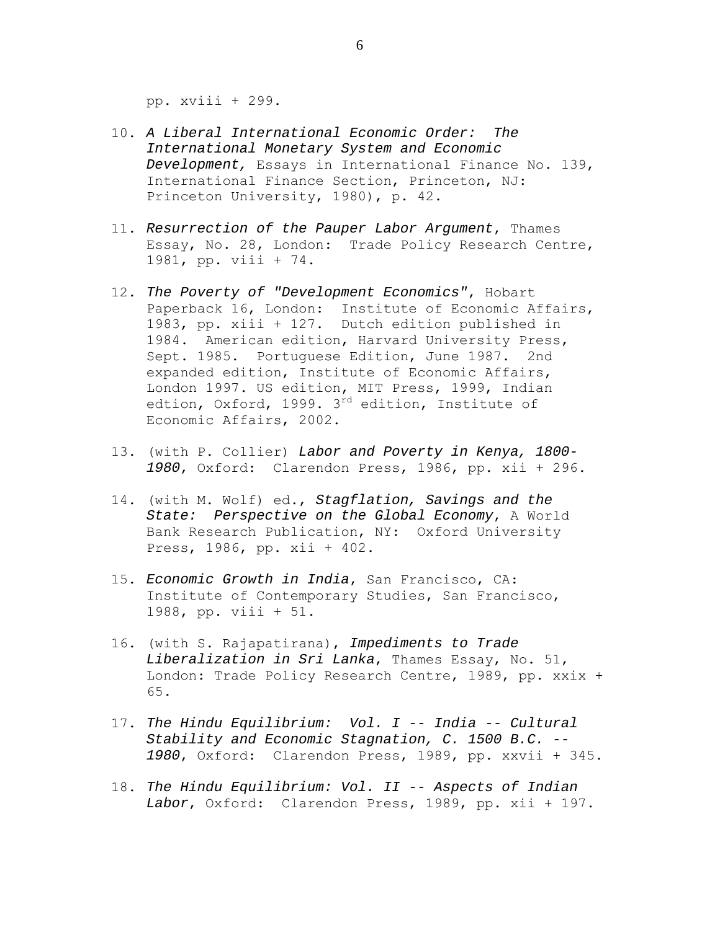pp. xviii + 299.

- 10. *A Liberal International Economic Order: The International Monetary System and Economic Development,* Essays in International Finance No. 139, International Finance Section, Princeton, NJ: Princeton University, 1980), p. 42.
- 11. *Resurrection of the Pauper Labor Argument*, Thames Essay, No. 28, London: Trade Policy Research Centre, 1981, pp. viii + 74.
- 12. *The Poverty of "Development Economics"*, Hobart Paperback 16, London: Institute of Economic Affairs, 1983, pp. xiii + 127. Dutch edition published in 1984. American edition, Harvard University Press, Sept. 1985. Portuguese Edition, June 1987. 2nd expanded edition, Institute of Economic Affairs, London 1997. US edition, MIT Press, 1999, Indian edtion, Oxford, 1999. 3<sup>rd</sup> edition, Institute of Economic Affairs, 2002.
- 13. (with P. Collier) *Labor and Poverty in Kenya, 1800- 1980*, Oxford: Clarendon Press, 1986, pp. xii + 296.
- 14. (with M. Wolf) ed., *Stagflation, Savings and the State: Perspective on the Global Economy*, A World Bank Research Publication, NY: Oxford University Press, 1986, pp. xii + 402.
- 15. *Economic Growth in India*, San Francisco, CA: Institute of Contemporary Studies, San Francisco, 1988, pp. viii + 51.
- 16. (with S. Rajapatirana), *Impediments to Trade Liberalization in Sri Lanka*, Thames Essay, No. 51, London: Trade Policy Research Centre, 1989, pp. xxix + 65.
- 17. *The Hindu Equilibrium: Vol. I -- India -- Cultural Stability and Economic Stagnation, C. 1500 B.C. -- 1980*, Oxford: Clarendon Press, 1989, pp. xxvii + 345.
- 18. *The Hindu Equilibrium: Vol. II -- Aspects of Indian Labor*, Oxford: Clarendon Press, 1989, pp. xii + 197.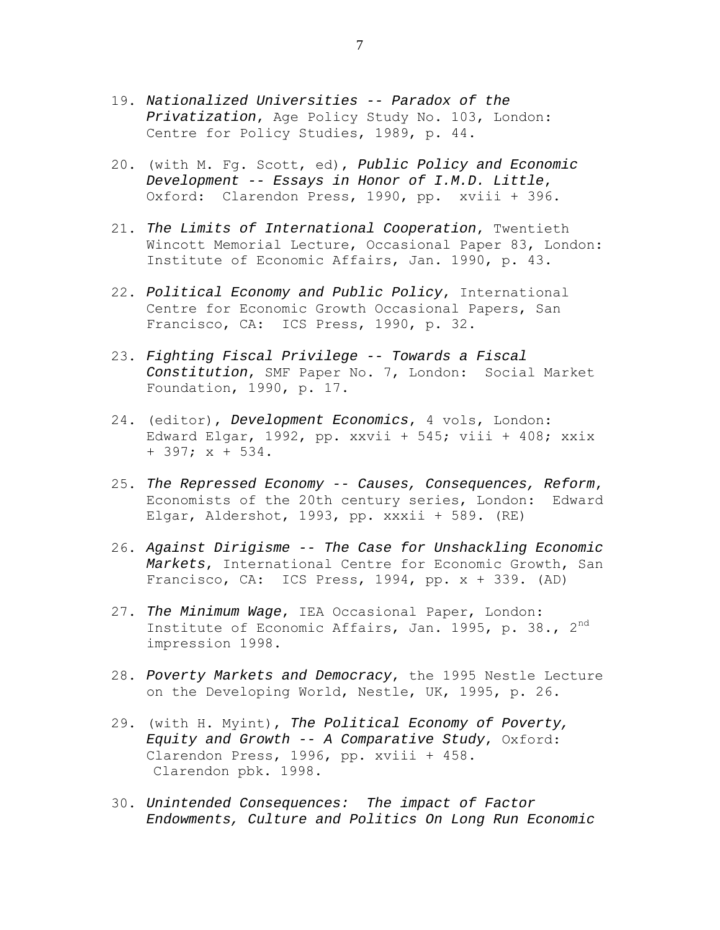- 19. *Nationalized Universities -- Paradox of the Privatization*, Age Policy Study No. 103, London: Centre for Policy Studies, 1989, p. 44.
- 20. (with M. Fg. Scott, ed), *Public Policy and Economic Development -- Essays in Honor of I.M.D. Little*, Oxford: Clarendon Press, 1990, pp. xviii + 396.
- 21. *The Limits of International Cooperation*, Twentieth Wincott Memorial Lecture, Occasional Paper 83, London: Institute of Economic Affairs, Jan. 1990, p. 43.
- 22. *Political Economy and Public Policy*, International Centre for Economic Growth Occasional Papers, San Francisco, CA: ICS Press, 1990, p. 32.
- 23. *Fighting Fiscal Privilege -- Towards a Fiscal Constitution*, SMF Paper No. 7, London: Social Market Foundation, 1990, p. 17.
- 24. (editor), *Development Economics*, 4 vols, London: Edward Elgar, 1992, pp. xxvii + 545; viii + 408; xxix + 397; x + 534.
- 25. *The Repressed Economy -- Causes, Consequences, Reform*, Economists of the 20th century series, London: Edward Elgar, Aldershot, 1993, pp. xxxii + 589. (RE)
- 26. *Against Dirigisme -- The Case for Unshackling Economic Markets*, International Centre for Economic Growth, San Francisco, CA: ICS Press, 1994, pp. x + 339. (AD)
- 27. *The Minimum Wage*, IEA Occasional Paper, London: Institute of Economic Affairs, Jan. 1995, p. 38., 2<sup>nd</sup> impression 1998.
- 28. *Poverty Markets and Democracy*, the 1995 Nestle Lecture on the Developing World, Nestle, UK, 1995, p. 26.
- 29. (with H. Myint), *The Political Economy of Poverty, Equity and Growth -- A Comparative Study*, Oxford: Clarendon Press, 1996, pp. xviii + 458. Clarendon pbk. 1998.
- 30. *Unintended Consequences: The impact of Factor Endowments, Culture and Politics On Long Run Economic*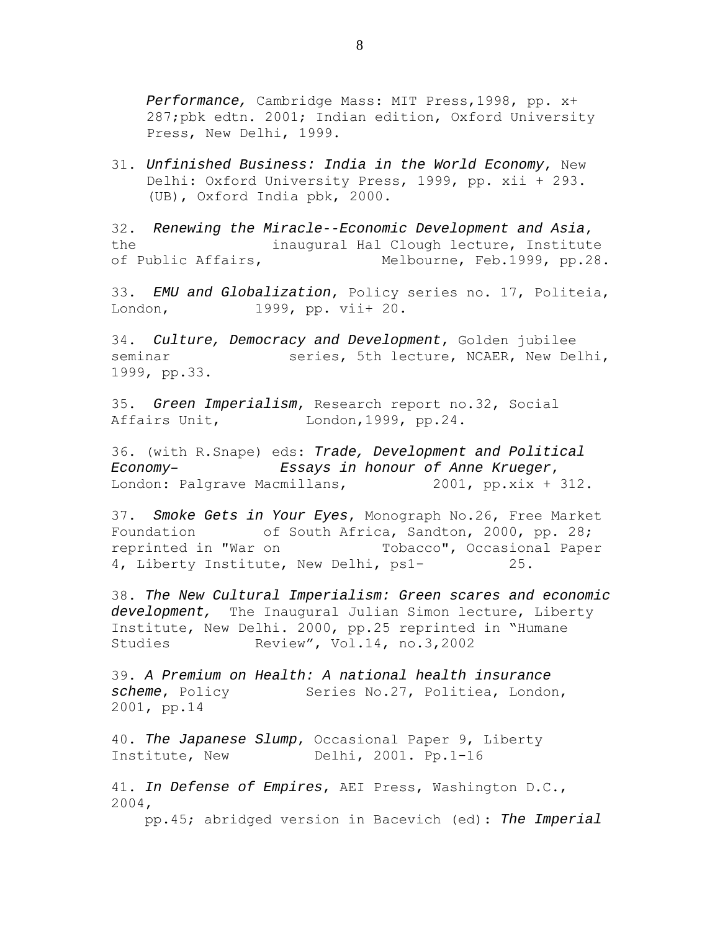*Performance,* Cambridge Mass: MIT Press,1998, pp. x+ 287;pbk edtn. 2001; Indian edition, Oxford University Press, New Delhi, 1999.

31. *Unfinished Business: India in the World Economy*, New Delhi: Oxford University Press, 1999, pp. xii + 293. (UB), Oxford India pbk, 2000.

32. *Renewing the Miracle--Economic Development and Asia*, the inaugural Hal Clough lecture, Institute of Public Affairs, Melbourne, Feb.1999, pp.28.

33. *EMU and Globalization*, Policy series no. 17, Politeia, London, 1999, pp. vii+ 20.

34. *Culture, Democracy and Development*, Golden jubilee seminar series, 5th lecture, NCAER, New Delhi, 1999, pp.33.

35. *Green Imperialism*, Research report no.32, Social Affairs Unit, London, 1999, pp. 24.

36. (with R.Snape) eds: *Trade, Development and Political Economy– Essays in honour of Anne Krueger*, London: Palgrave Macmillans, 2001, pp.xix + 312.

37. *Smoke Gets in Your Eyes*, Monograph No.26, Free Market Foundation of South Africa, Sandton, 2000, pp. 28; reprinted in "War on Tobacco", Occasional Paper 4, Liberty Institute, New Delhi, ps1- 25.

38. *The New Cultural Imperialism: Green scares and economic development,* The Inaugural Julian Simon lecture, Liberty Institute, New Delhi. 2000, pp.25 reprinted in "Humane Studies Review", Vol.14, no.3,2002

39. *A Premium on Health: A national health insurance scheme*, Policy Series No.27, Politiea, London, 2001, pp.14

40. *The Japanese Slump*, Occasional Paper 9, Liberty Institute, New Delhi, 2001. Pp.1-16

41. *In Defense of Empires*, AEI Press, Washington D.C., 2004, pp.45; abridged version in Bacevich (ed): *The Imperial* 

8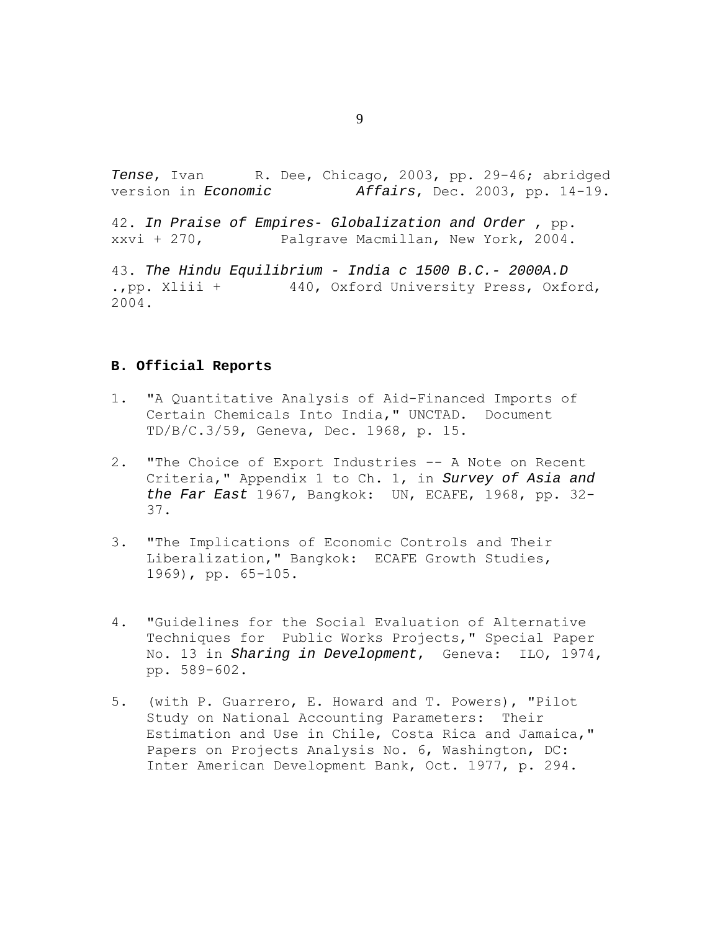*Tense*, Ivan R. Dee, Chicago, 2003, pp. 29-46; abridged version in *Economic Affairs*, Dec. 2003, pp. 14-19. 42. *In Praise of Empires- Globalization and Order* , pp. xxvi + 270, Palgrave Macmillan, New York, 2004.

43. *The Hindu Equilibrium - India c 1500 B.C.- 2000A.D*  .,pp. Xliii + 440, Oxford University Press, Oxford, 2004.

### **B. Official Reports**

- 1. "A Quantitative Analysis of Aid-Financed Imports of Certain Chemicals Into India," UNCTAD. Document TD/B/C.3/59, Geneva, Dec. 1968, p. 15.
- 2. "The Choice of Export Industries -- A Note on Recent Criteria," Appendix 1 to Ch. 1, in *Survey of Asia and the Far East* 1967, Bangkok: UN, ECAFE, 1968, pp. 32- 37.
- 3. "The Implications of Economic Controls and Their Liberalization," Bangkok: ECAFE Growth Studies, 1969), pp. 65-105.
- 4. "Guidelines for the Social Evaluation of Alternative Techniques for Public Works Projects," Special Paper No. 13 in *Sharing in Development*, Geneva: ILO, 1974, pp. 589-602.
- 5. (with P. Guarrero, E. Howard and T. Powers), "Pilot Study on National Accounting Parameters: Their Estimation and Use in Chile, Costa Rica and Jamaica," Papers on Projects Analysis No. 6, Washington, DC: Inter American Development Bank, Oct. 1977, p. 294.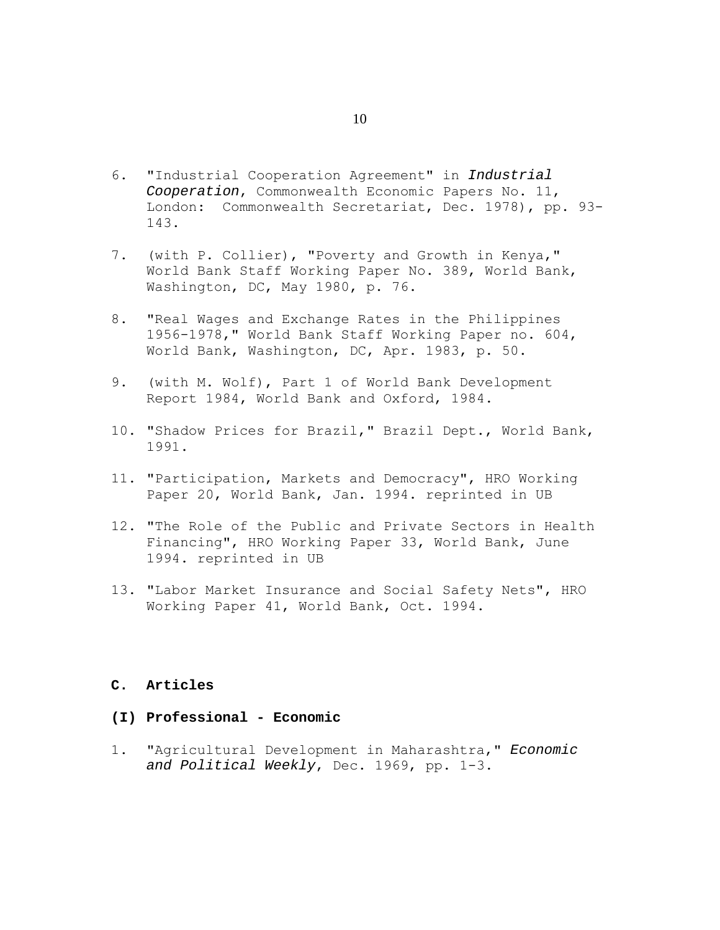- 6. "Industrial Cooperation Agreement" in *Industrial Cooperation*, Commonwealth Economic Papers No. 11, London: Commonwealth Secretariat, Dec. 1978), pp. 93- 143.
- 7. (with P. Collier), "Poverty and Growth in Kenya," World Bank Staff Working Paper No. 389, World Bank, Washington, DC, May 1980, p. 76.
- 8. "Real Wages and Exchange Rates in the Philippines 1956-1978," World Bank Staff Working Paper no. 604, World Bank, Washington, DC, Apr. 1983, p. 50.
- 9. (with M. Wolf), Part 1 of World Bank Development Report 1984, World Bank and Oxford, 1984.
- 10. "Shadow Prices for Brazil," Brazil Dept., World Bank, 1991.
- 11. "Participation, Markets and Democracy", HRO Working Paper 20, World Bank, Jan. 1994. reprinted in UB
- 12. "The Role of the Public and Private Sectors in Health Financing", HRO Working Paper 33, World Bank, June 1994. reprinted in UB
- 13. "Labor Market Insurance and Social Safety Nets", HRO Working Paper 41, World Bank, Oct. 1994.

### **C. Articles**

# **(I) Professional - Economic**

1. "Agricultural Development in Maharashtra," *Economic and Political Weekly*, Dec. 1969, pp. 1-3.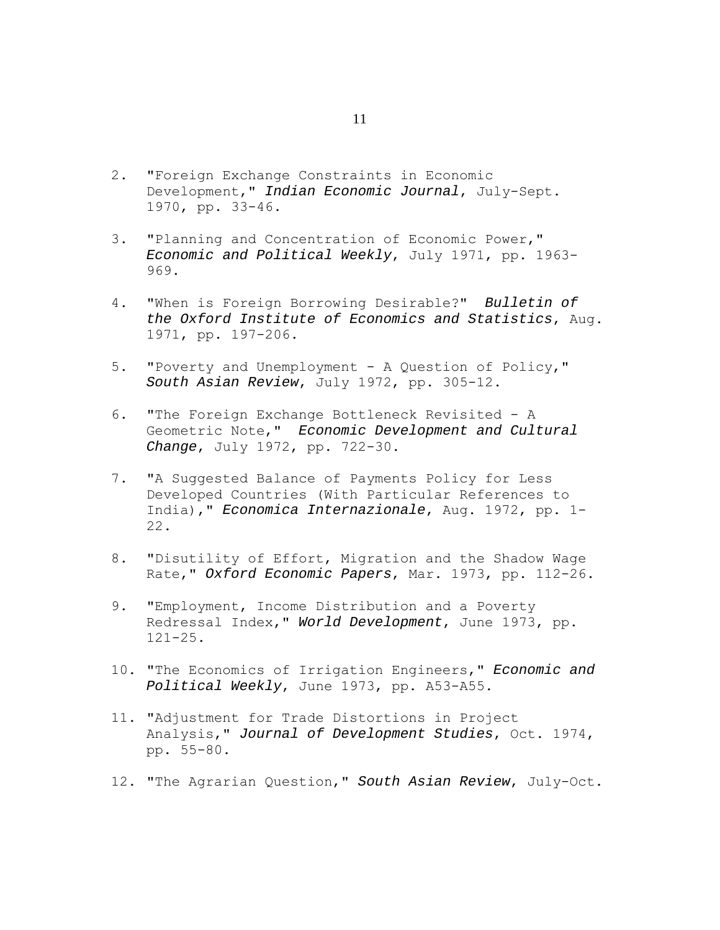- 2. "Foreign Exchange Constraints in Economic Development," *Indian Economic Journal*, July-Sept. 1970, pp. 33-46.
- 3. "Planning and Concentration of Economic Power," *Economic and Political Weekly*, July 1971, pp. 1963- 969.
- 4. "When is Foreign Borrowing Desirable?" *Bulletin of the Oxford Institute of Economics and Statistics*, Aug. 1971, pp. 197-206.
- 5. "Poverty and Unemployment A Question of Policy," *South Asian Review*, July 1972, pp. 305-12.
- 6. "The Foreign Exchange Bottleneck Revisited A Geometric Note," *Economic Development and Cultural Change*, July 1972, pp. 722-30.
- 7. "A Suggested Balance of Payments Policy for Less Developed Countries (With Particular References to India)," *Economica Internazionale*, Aug. 1972, pp. 1- 22.
- 8. "Disutility of Effort, Migration and the Shadow Wage Rate," *Oxford Economic Papers*, Mar. 1973, pp. 112-26.
- 9. "Employment, Income Distribution and a Poverty Redressal Index," *World Development*, June 1973, pp. 121-25.
- 10. "The Economics of Irrigation Engineers," *Economic and Political Weekly*, June 1973, pp. A53-A55.
- 11. "Adjustment for Trade Distortions in Project Analysis," *Journal of Development Studies*, Oct. 1974, pp. 55-80.
- 12. "The Agrarian Question," *South Asian Review*, July-Oct.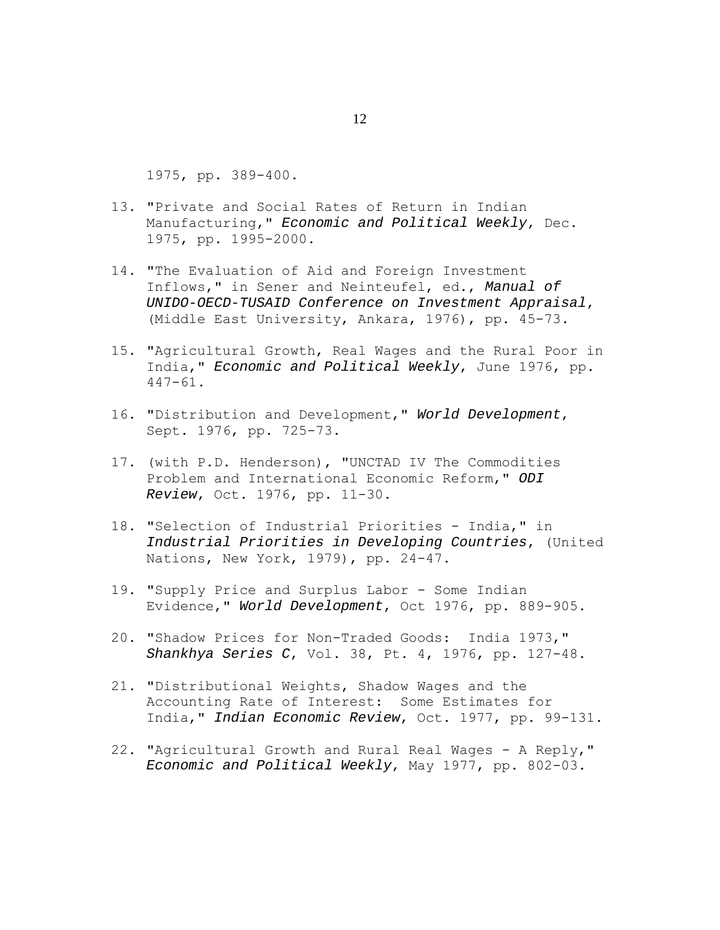1975, pp. 389-400.

- 13. "Private and Social Rates of Return in Indian Manufacturing," *Economic and Political Weekly*, Dec. 1975, pp. 1995-2000.
- 14. "The Evaluation of Aid and Foreign Investment Inflows," in Sener and Neinteufel, ed., *Manual of UNIDO-OECD-TUSAID Conference on Investment Appraisal*, (Middle East University, Ankara, 1976), pp. 45-73.
- 15. "Agricultural Growth, Real Wages and the Rural Poor in India," *Economic and Political Weekly*, June 1976, pp. 447-61.
- 16. "Distribution and Development," *World Development*, Sept. 1976, pp. 725-73.
- 17. (with P.D. Henderson), "UNCTAD IV The Commodities Problem and International Economic Reform," *ODI Review*, Oct. 1976, pp. 11-30.
- 18. "Selection of Industrial Priorities India," in *Industrial Priorities in Developing Countries*, (United Nations, New York, 1979), pp. 24-47.
- 19. "Supply Price and Surplus Labor Some Indian Evidence," *World Development*, Oct 1976, pp. 889-905.
- 20. "Shadow Prices for Non-Traded Goods: India 1973," *Shankhya Series C*, Vol. 38, Pt. 4, 1976, pp. 127-48.
- 21. "Distributional Weights, Shadow Wages and the Accounting Rate of Interest: Some Estimates for India," *Indian Economic Review*, Oct. 1977, pp. 99-131.
- 22. "Agricultural Growth and Rural Real Wages A Reply," *Economic and Political Weekly*, May 1977, pp. 802-03.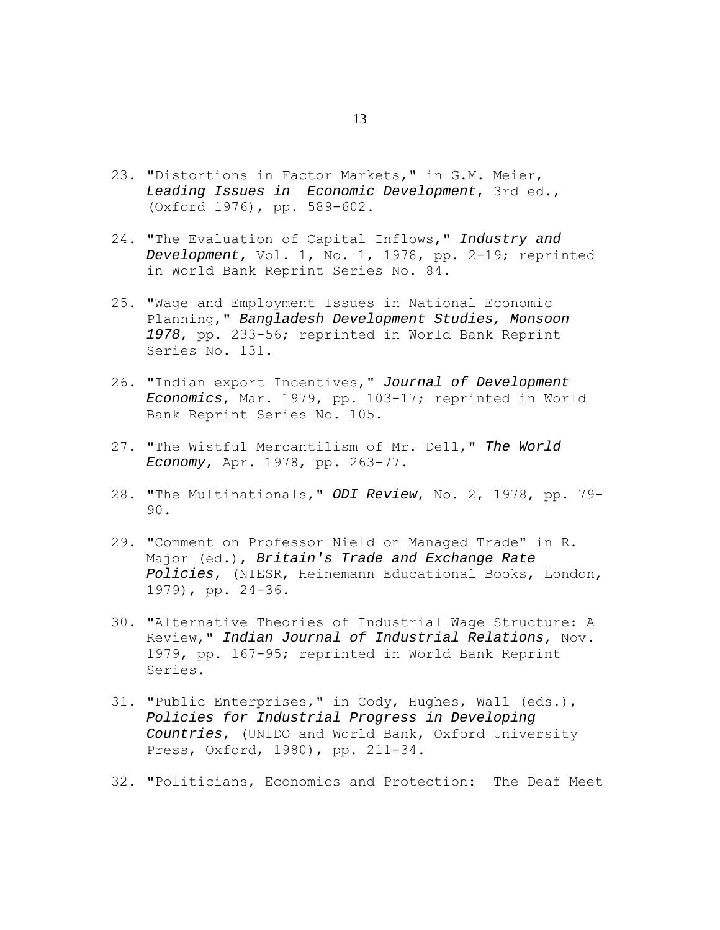- 23. "Distortions in Factor Markets," in G.M. Meier, *Leading Issues in Economic Development*, 3rd ed., (Oxford 1976), pp. 589-602.
- 24. "The Evaluation of Capital Inflows," *Industry and Development*, Vol. 1, No. 1, 1978, pp. 2-19; reprinted in World Bank Reprint Series No. 84.
- 25. "Wage and Employment Issues in National Economic Planning," *Bangladesh Development Studies, Monsoon 1978*, pp. 233-56; reprinted in World Bank Reprint Series No. 131.
- 26. "Indian export Incentives," *Journal of Development Economics*, Mar. 1979, pp. 103-17; reprinted in World Bank Reprint Series No. 105.
- 27. "The Wistful Mercantilism of Mr. Dell," *The World Economy*, Apr. 1978, pp. 263-77.
- 28. "The Multinationals," *ODI Review*, No. 2, 1978, pp. 79- 90.
- 29. "Comment on Professor Nield on Managed Trade" in R. Major (ed.), *Britain's Trade and Exchange Rate Policies*, (NIESR, Heinemann Educational Books, London, 1979), pp. 24-36.
- 30. "Alternative Theories of Industrial Wage Structure: A Review," *Indian Journal of Industrial Relations*, Nov. 1979, pp. 167-95; reprinted in World Bank Reprint Series.
- 31. "Public Enterprises," in Cody, Hughes, Wall (eds.), *Policies for Industrial Progress in Developing Countries*, (UNIDO and World Bank, Oxford University Press, Oxford, 1980), pp. 211-34.
- 32. "Politicians, Economics and Protection: The Deaf Meet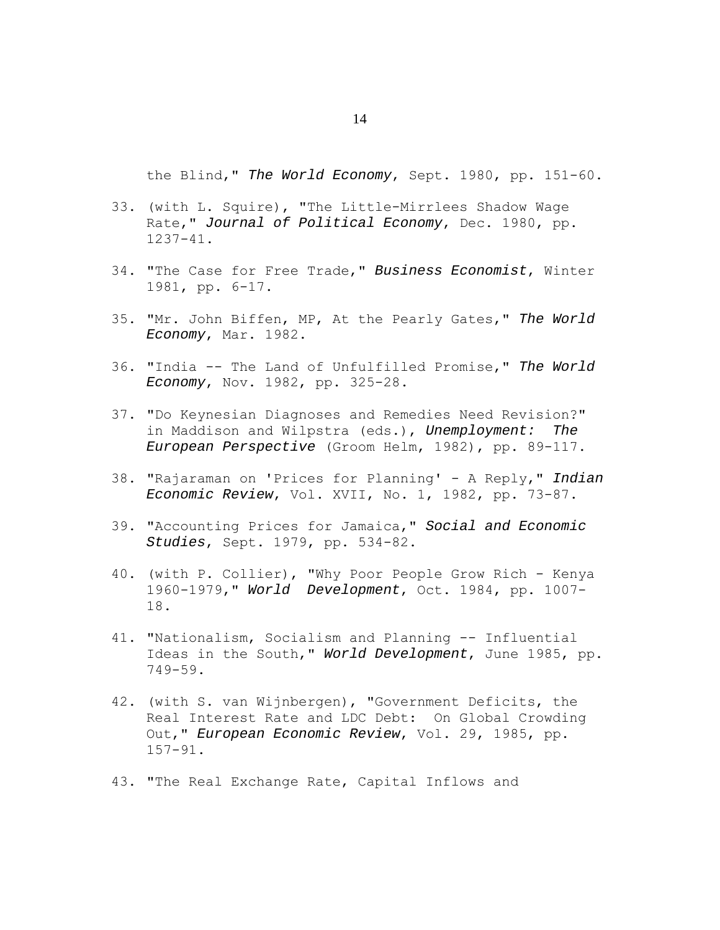the Blind," *The World Economy*, Sept. 1980, pp. 151-60.

- 33. (with L. Squire), "The Little-Mirrlees Shadow Wage Rate," *Journal of Political Economy*, Dec. 1980, pp. 1237-41.
- 34. "The Case for Free Trade," *Business Economist*, Winter 1981, pp. 6-17.
- 35. "Mr. John Biffen, MP, At the Pearly Gates," *The World Economy*, Mar. 1982.
- 36. "India -- The Land of Unfulfilled Promise," *The World Economy*, Nov. 1982, pp. 325-28.
- 37. "Do Keynesian Diagnoses and Remedies Need Revision?" in Maddison and Wilpstra (eds.), *Unemployment: The European Perspective* (Groom Helm, 1982), pp. 89-117.
- 38. "Rajaraman on 'Prices for Planning' A Reply," *Indian Economic Review*, Vol. XVII, No. 1, 1982, pp. 73-87.
- 39. "Accounting Prices for Jamaica," *Social and Economic Studies*, Sept. 1979, pp. 534-82.
- 40. (with P. Collier), "Why Poor People Grow Rich Kenya 1960-1979," *World Development*, Oct. 1984, pp. 1007- 18.
- 41. "Nationalism, Socialism and Planning -- Influential Ideas in the South," *World Development*, June 1985, pp. 749-59.
- 42. (with S. van Wijnbergen), "Government Deficits, the Real Interest Rate and LDC Debt: On Global Crowding Out," *European Economic Review*, Vol. 29, 1985, pp. 157-91.
- 43. "The Real Exchange Rate, Capital Inflows and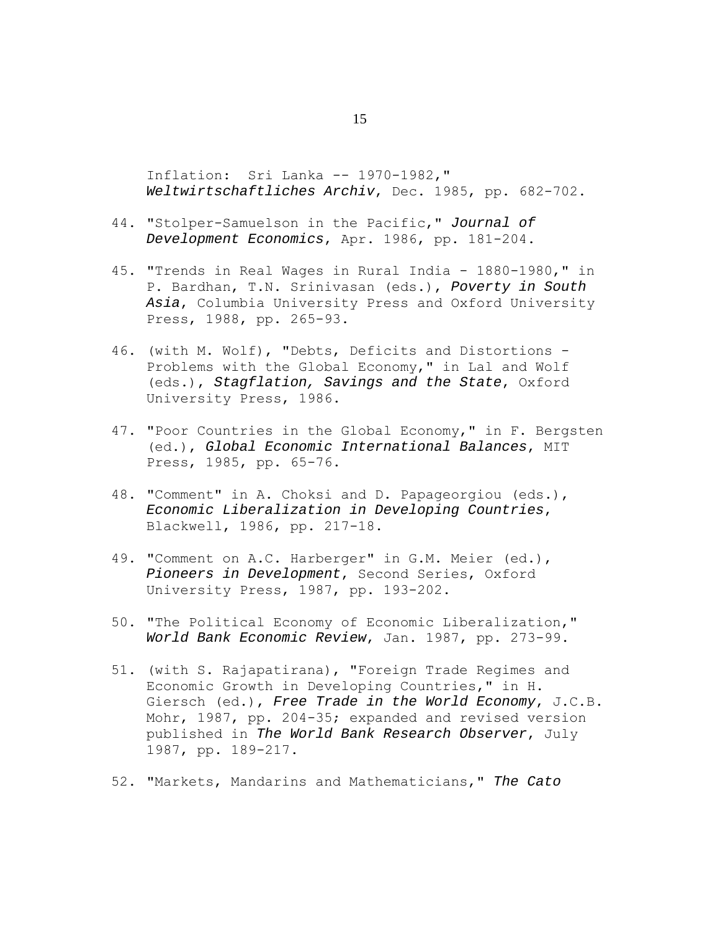Inflation: Sri Lanka -- 1970-1982," *Weltwirtschaftliches Archiv*, Dec. 1985, pp. 682-702.

- 44. "Stolper-Samuelson in the Pacific," *Journal of Development Economics*, Apr. 1986, pp. 181-204.
- 45. "Trends in Real Wages in Rural India 1880-1980," in P. Bardhan, T.N. Srinivasan (eds.), *Poverty in South Asia*, Columbia University Press and Oxford University Press, 1988, pp. 265-93.
- 46. (with M. Wolf), "Debts, Deficits and Distortions Problems with the Global Economy," in Lal and Wolf (eds.), *Stagflation, Savings and the State*, Oxford University Press, 1986.
- 47. "Poor Countries in the Global Economy," in F. Bergsten (ed.), *Global Economic International Balances*, MIT Press, 1985, pp. 65-76.
- 48. "Comment" in A. Choksi and D. Papageorgiou (eds.), *Economic Liberalization in Developing Countries*, Blackwell, 1986, pp. 217-18.
- 49. "Comment on A.C. Harberger" in G.M. Meier (ed.), *Pioneers in Development*, Second Series, Oxford University Press, 1987, pp. 193-202.
- 50. "The Political Economy of Economic Liberalization," *World Bank Economic Review*, Jan. 1987, pp. 273-99.
- 51. (with S. Rajapatirana), "Foreign Trade Regimes and Economic Growth in Developing Countries," in H. Giersch (ed.), *Free Trade in the World Economy*, J.C.B. Mohr, 1987, pp. 204-35; expanded and revised version published in *The World Bank Research Observer*, July 1987, pp. 189-217.
- 52. "Markets, Mandarins and Mathematicians," *The Cato*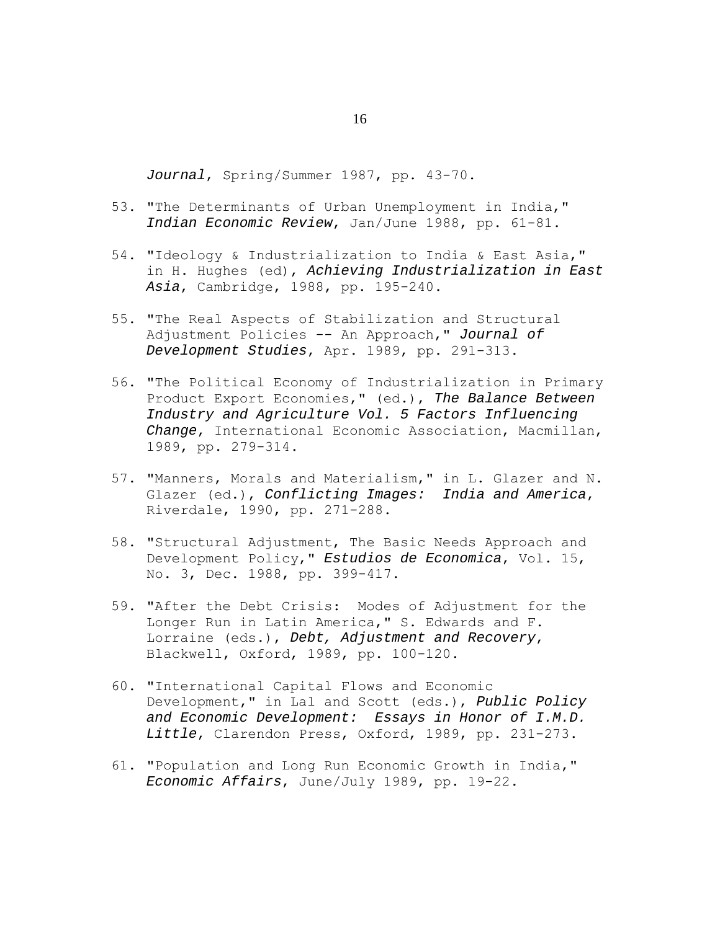*Journal*, Spring/Summer 1987, pp. 43-70.

- 53. "The Determinants of Urban Unemployment in India," *Indian Economic Review*, Jan/June 1988, pp. 61-81.
- 54. "Ideology & Industrialization to India & East Asia," in H. Hughes (ed), *Achieving Industrialization in East Asia*, Cambridge, 1988, pp. 195-240.
- 55. "The Real Aspects of Stabilization and Structural Adjustment Policies -- An Approach," *Journal of Development Studies*, Apr. 1989, pp. 291-313.
- 56. "The Political Economy of Industrialization in Primary Product Export Economies," (ed.), *The Balance Between Industry and Agriculture Vol. 5 Factors Influencing Change*, International Economic Association, Macmillan, 1989, pp. 279-314.
- 57. "Manners, Morals and Materialism," in L. Glazer and N. Glazer (ed.), *Conflicting Images: India and America*, Riverdale, 1990, pp. 271-288.
- 58. "Structural Adjustment, The Basic Needs Approach and Development Policy," *Estudios de Economica*, Vol. 15, No. 3, Dec. 1988, pp. 399-417.
- 59. "After the Debt Crisis: Modes of Adjustment for the Longer Run in Latin America," S. Edwards and F. Lorraine (eds.), *Debt, Adjustment and Recovery*, Blackwell, Oxford, 1989, pp. 100-120.
- 60. "International Capital Flows and Economic Development," in Lal and Scott (eds.), *Public Policy and Economic Development: Essays in Honor of I.M.D. Little*, Clarendon Press, Oxford, 1989, pp. 231-273.
- 61. "Population and Long Run Economic Growth in India," *Economic Affairs*, June/July 1989, pp. 19-22.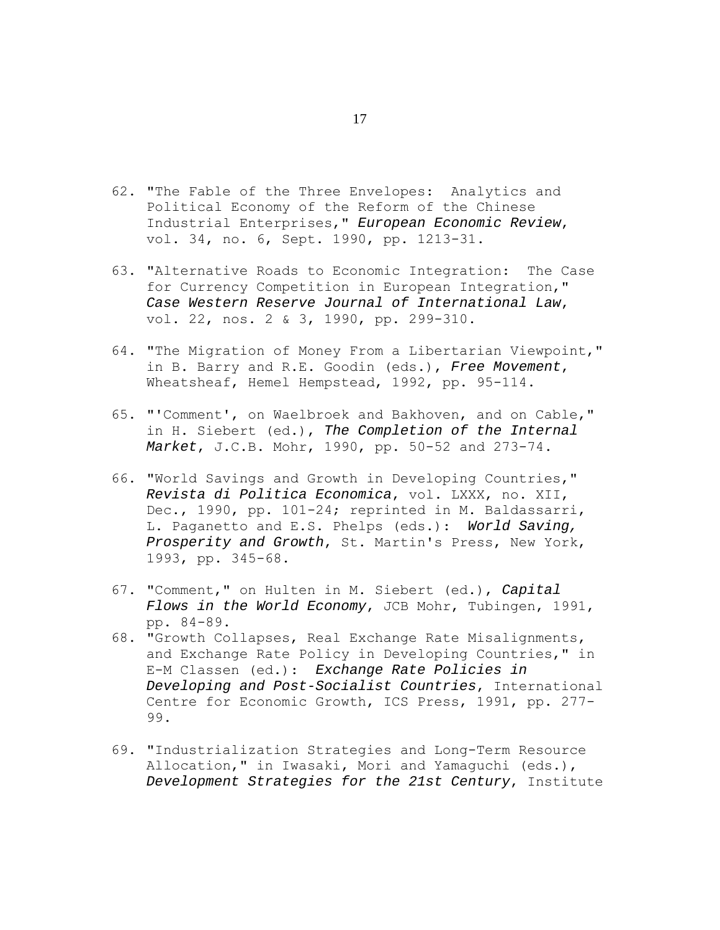- 62. "The Fable of the Three Envelopes: Analytics and Political Economy of the Reform of the Chinese Industrial Enterprises," *European Economic Review*, vol. 34, no. 6, Sept. 1990, pp. 1213-31.
- 63. "Alternative Roads to Economic Integration: The Case for Currency Competition in European Integration," *Case Western Reserve Journal of International Law*, vol. 22, nos. 2 & 3, 1990, pp. 299-310.
- 64. "The Migration of Money From a Libertarian Viewpoint," in B. Barry and R.E. Goodin (eds.), *Free Movement*, Wheatsheaf, Hemel Hempstead, 1992, pp. 95-114.
- 65. "'Comment', on Waelbroek and Bakhoven, and on Cable," in H. Siebert (ed.), *The Completion of the Internal Market*, J.C.B. Mohr, 1990, pp. 50-52 and 273-74.
- 66. "World Savings and Growth in Developing Countries," *Revista di Politica Economica*, vol. LXXX, no. XII, Dec., 1990, pp. 101-24; reprinted in M. Baldassarri, L. Paganetto and E.S. Phelps (eds.): *World Saving, Prosperity and Growth*, St. Martin's Press, New York, 1993, pp. 345-68.
- 67. "Comment," on Hulten in M. Siebert (ed.), *Capital Flows in the World Economy*, JCB Mohr, Tubingen, 1991, pp. 84-89.
- 68. "Growth Collapses, Real Exchange Rate Misalignments, and Exchange Rate Policy in Developing Countries," in E-M Classen (ed.): *Exchange Rate Policies in Developing and Post-Socialist Countries*, International Centre for Economic Growth, ICS Press, 1991, pp. 277- 99.
- 69. "Industrialization Strategies and Long-Term Resource Allocation," in Iwasaki, Mori and Yamaguchi (eds.), *Development Strategies for the 21st Century*, Institute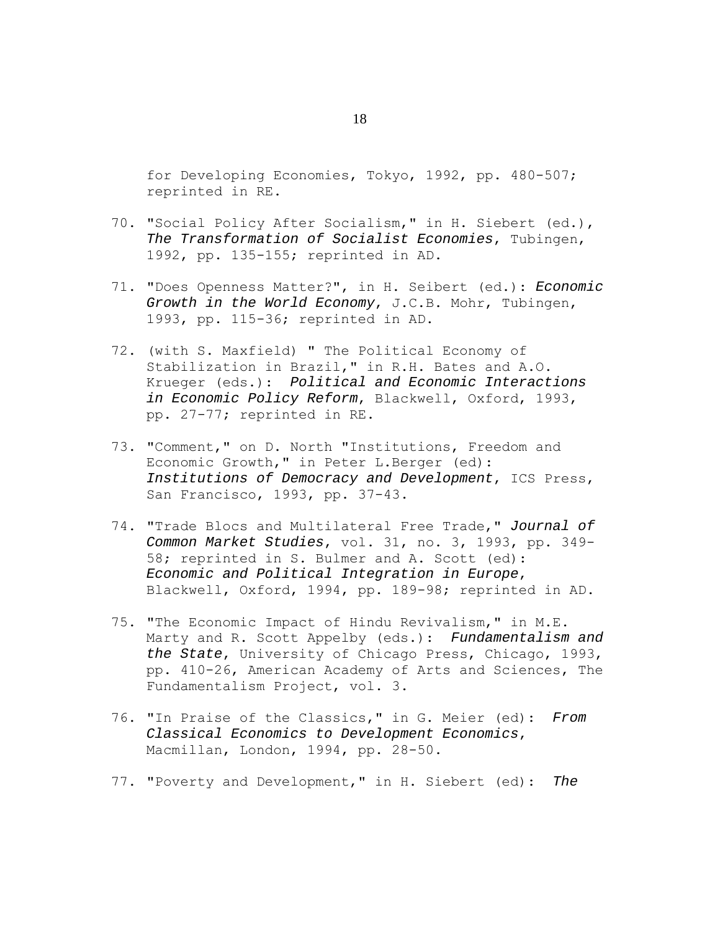for Developing Economies, Tokyo, 1992, pp. 480-507; reprinted in RE.

- 70. "Social Policy After Socialism," in H. Siebert (ed.), *The Transformation of Socialist Economies*, Tubingen, 1992, pp. 135-155; reprinted in AD.
- 71. "Does Openness Matter?", in H. Seibert (ed.): *Economic Growth in the World Economy*, J.C.B. Mohr, Tubingen, 1993, pp. 115-36; reprinted in AD.
- 72. (with S. Maxfield) " The Political Economy of Stabilization in Brazil," in R.H. Bates and A.O. Krueger (eds.): *Political and Economic Interactions in Economic Policy Reform*, Blackwell, Oxford, 1993, pp. 27-77; reprinted in RE.
- 73. "Comment," on D. North "Institutions, Freedom and Economic Growth," in Peter L.Berger (ed): *Institutions of Democracy and Development*, ICS Press, San Francisco, 1993, pp. 37-43.
- 74. "Trade Blocs and Multilateral Free Trade," *Journal of Common Market Studies*, vol. 31, no. 3, 1993, pp. 349- 58; reprinted in S. Bulmer and A. Scott (ed): *Economic and Political Integration in Europe*, Blackwell, Oxford, 1994, pp. 189-98; reprinted in AD.
- 75. "The Economic Impact of Hindu Revivalism," in M.E. Marty and R. Scott Appelby (eds.): *Fundamentalism and the State*, University of Chicago Press, Chicago, 1993, pp. 410-26, American Academy of Arts and Sciences, The Fundamentalism Project, vol. 3.
- 76. "In Praise of the Classics," in G. Meier (ed): *From Classical Economics to Development Economics*, Macmillan, London, 1994, pp. 28-50.
- 77. "Poverty and Development," in H. Siebert (ed): *The*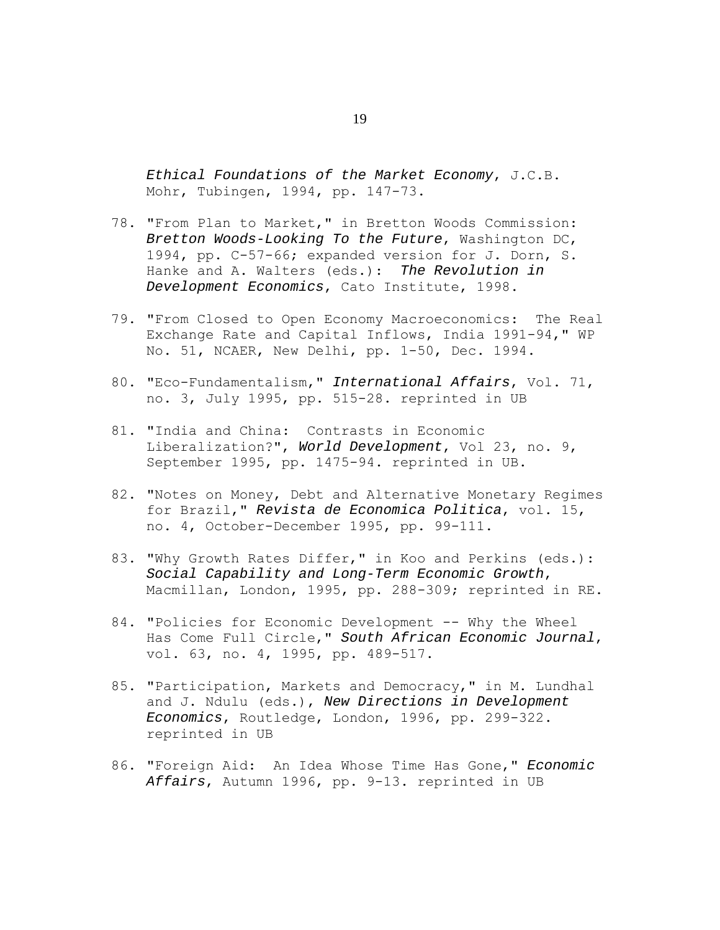*Ethical Foundations of the Market Economy*, J.C.B. Mohr, Tubingen, 1994, pp. 147-73.

- 78. "From Plan to Market," in Bretton Woods Commission: *Bretton Woods-Looking To the Future*, Washington DC, 1994, pp. C-57-66; expanded version for J. Dorn, S. Hanke and A. Walters (eds.): *The Revolution in Development Economics*, Cato Institute, 1998.
- 79. "From Closed to Open Economy Macroeconomics: The Real Exchange Rate and Capital Inflows, India 1991-94," WP No. 51, NCAER, New Delhi, pp. 1-50, Dec. 1994.
- 80. "Eco-Fundamentalism," *International Affairs*, Vol. 71, no. 3, July 1995, pp. 515-28. reprinted in UB
- 81. "India and China: Contrasts in Economic Liberalization?", *World Development*, Vol 23, no. 9, September 1995, pp. 1475-94. reprinted in UB.
- 82. "Notes on Money, Debt and Alternative Monetary Regimes for Brazil," *Revista de Economica Politica*, vol. 15, no. 4, October-December 1995, pp. 99-111.
- 83. "Why Growth Rates Differ," in Koo and Perkins (eds.): *Social Capability and Long-Term Economic Growth*, Macmillan, London, 1995, pp. 288-309; reprinted in RE.
- 84. "Policies for Economic Development -- Why the Wheel Has Come Full Circle," *South African Economic Journal*, vol. 63, no. 4, 1995, pp. 489-517.
- 85. "Participation, Markets and Democracy," in M. Lundhal and J. Ndulu (eds.), *New Directions in Development Economics*, Routledge, London, 1996, pp. 299-322. reprinted in UB
- 86. "Foreign Aid: An Idea Whose Time Has Gone," *Economic Affairs*, Autumn 1996, pp. 9-13. reprinted in UB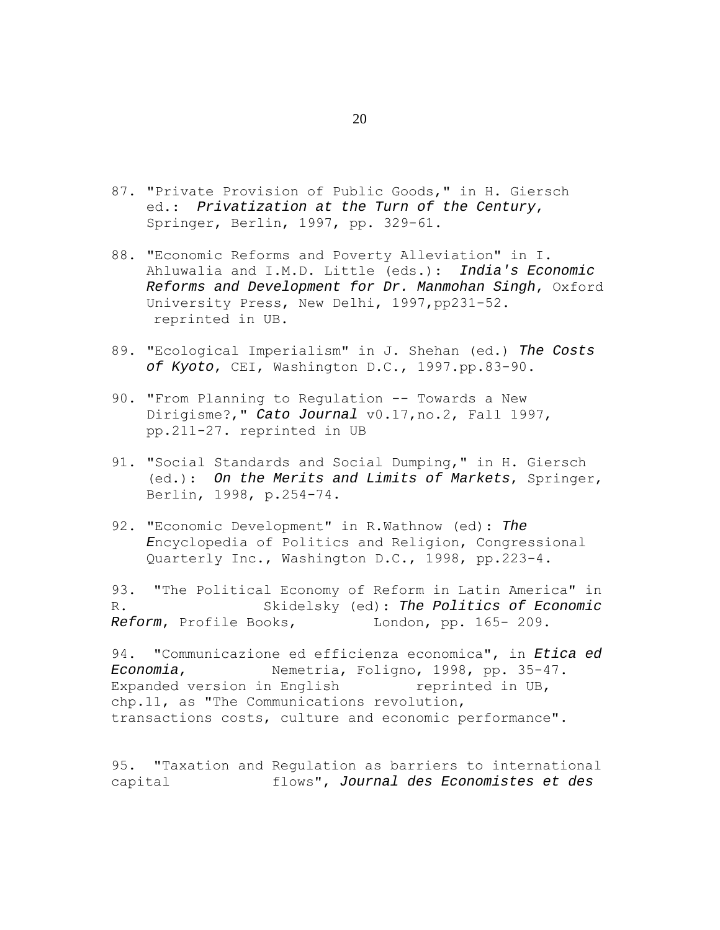- 87. "Private Provision of Public Goods," in H. Giersch ed.: *Privatization at the Turn of the Century*, Springer, Berlin, 1997, pp. 329-61.
- 88. "Economic Reforms and Poverty Alleviation" in I. Ahluwalia and I.M.D. Little (eds.): *India's Economic Reforms and Development for Dr. Manmohan Singh*, Oxford University Press, New Delhi, 1997,pp231-52. reprinted in UB.
- 89. "Ecological Imperialism" in J. Shehan (ed.) *The Costs of Kyoto*, CEI, Washington D.C., 1997.pp.83-90.
- 90. "From Planning to Regulation -- Towards a New Dirigisme?," *Cato Journal* v0.17,no.2, Fall 1997, pp.211-27. reprinted in UB
- 91. "Social Standards and Social Dumping," in H. Giersch (ed.): *On the Merits and Limits of Markets*, Springer, Berlin, 1998, p.254-74.
- 92. "Economic Development" in R.Wathnow (ed): *The E*ncyclopedia of Politics and Religion, Congressional Quarterly Inc., Washington D.C., 1998, pp.223-4.

93. "The Political Economy of Reform in Latin America" in R. Skidelsky (ed): *The Politics of Economic Reform, Profile Books,* London, pp. 165-209.

94. "Communicazione ed efficienza economica", in *Etica ed Economia*, Nemetria, Foligno, 1998, pp. 35-47. Expanded version in English reprinted in UB, chp.11, as "The Communications revolution, transactions costs, culture and economic performance".

95. "Taxation and Regulation as barriers to international capital flows", *Journal des Economistes et des* 

20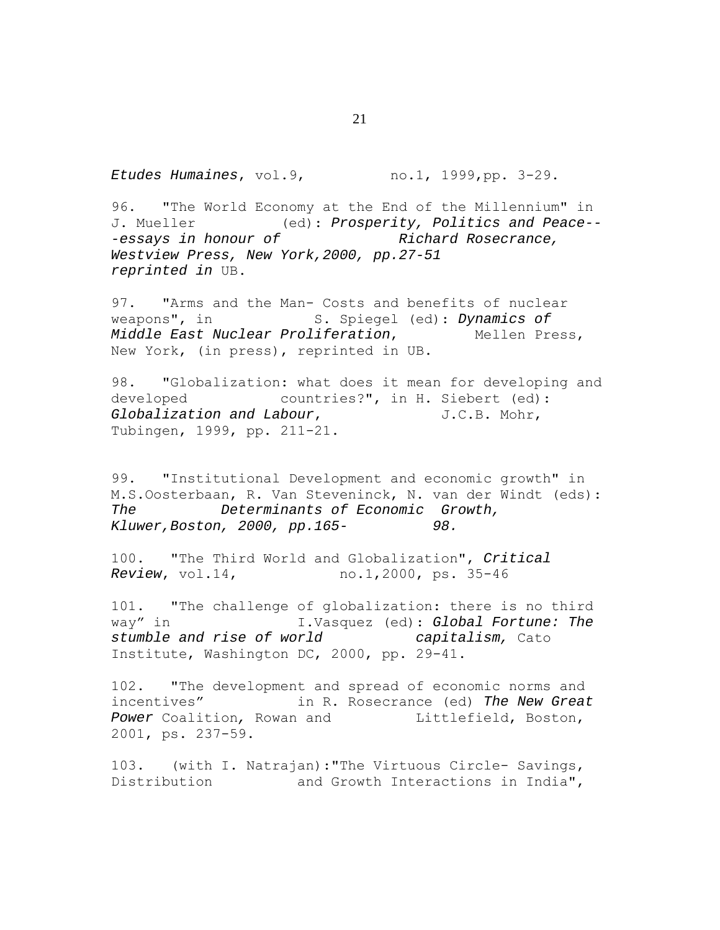*Etudes Humaines*, vol.9, no.1, 1999,pp. 3-29.

96. "The World Economy at the End of the Millennium" in J. Mueller (ed): *Prosperity, Politics and Peace--* -essays in honour of **Richard Rosecrance**, *Westview Press, New York,2000, pp.27-51 reprinted in* UB.

97. "Arms and the Man- Costs and benefits of nuclear weapons", in S. Spiegel (ed): *Dynamics of Middle East Nuclear Proliferation*, Mellen Press, New York, (in press), reprinted in UB.

98. "Globalization: what does it mean for developing and developed countries?", in H. Siebert (ed): *Globalization and Labour*, J.C.B. Mohr, Tubingen, 1999, pp. 211-21.

99. "Institutional Development and economic growth" in M.S.Oosterbaan, R. Van Steveninck, N. van der Windt (eds): *The Determinants of Economic Growth, Kluwer,Boston, 2000, pp.165- 98.* 

100. "The Third World and Globalization", *Critical Review*, vol.14, no.1,2000, ps. 35-46

101. "The challenge of globalization: there is no third way" in I.Vasquez (ed): *Global Fortune: The stumble and rise of world capitalism,* Cato Institute, Washington DC, 2000, pp. 29-41.

102. "The development and spread of economic norms and incentives" in R. Rosecrance (ed) *The New Great*  Power Coalition, Rowan and **Littlefield**, Boston, 2001, ps. 237-59.

103. (with I. Natrajan):"The Virtuous Circle- Savings, Distribution and Growth Interactions in India",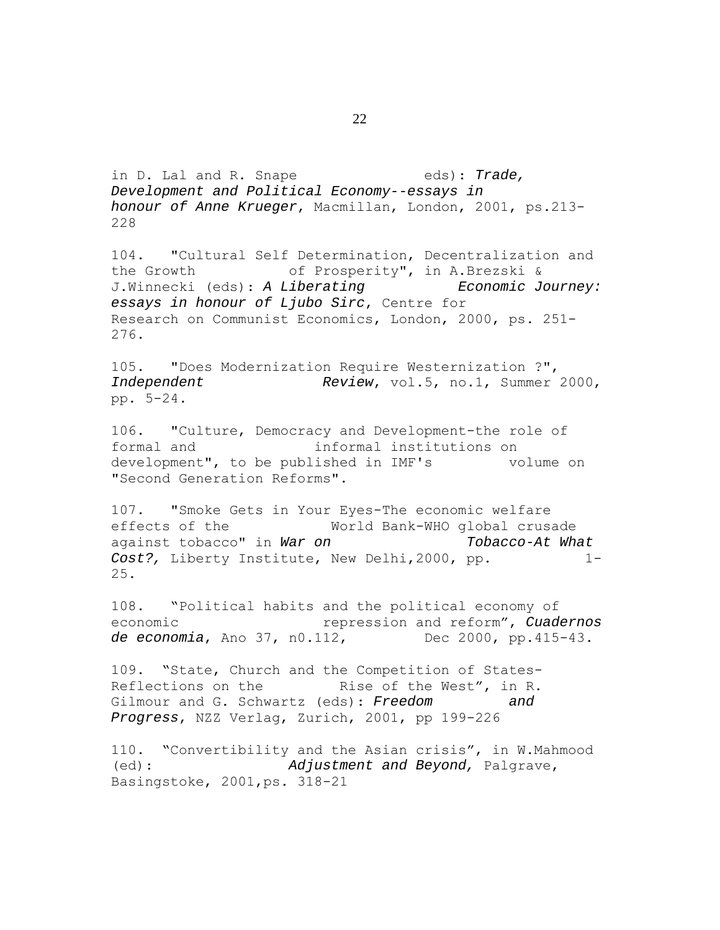in D. Lal and R. Snape eds): *Trade, Development and Political Economy--essays in honour of Anne Krueger*, Macmillan, London, 2001, ps.213- 228

104. "Cultural Self Determination, Decentralization and the Growth of Prosperity", in A.Brezski & J.Winnecki (eds): *A Liberating Economic Journey: essays in honour of Ljubo Sirc*, Centre for Research on Communist Economics, London, 2000, ps. 251- 276.

105. "Does Modernization Require Westernization ?", *Independent Review*, vol.5, no.1, Summer 2000, pp. 5-24.

106. "Culture, Democracy and Development-the role of formal and informal institutions on development", to be published in IMF's volume on "Second Generation Reforms".

107. "Smoke Gets in Your Eyes-The economic welfare effects of the World Bank-WHO global crusade against tobacco" in *War on Tobacco-At What Cost?,* Liberty Institute, New Delhi,2000, pp. 1- 25.

108. "Political habits and the political economy of economic repression and reform", *Cuadernos de economia*, Ano 37, n0.112, Dec 2000, pp.415-43.

109. "State, Church and the Competition of States-Reflections on the Rise of the West", in R. Gilmour and G. Schwartz (eds): *Freedom and Progress*, NZZ Verlag, Zurich, 2001, pp 199-226

110. "Convertibility and the Asian crisis", in W.Mahmood (ed): *Adjustment and Beyond,* Palgrave, Basingstoke, 2001,ps. 318-21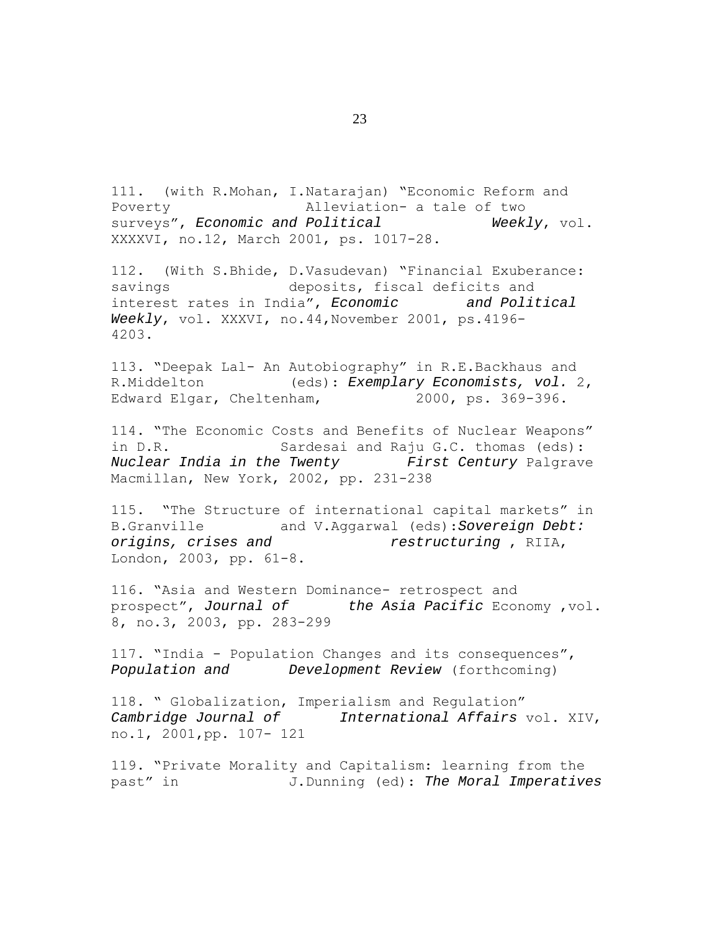111. (with R.Mohan, I.Natarajan) "Economic Reform and Poverty Alleviation- a tale of two surveys", *Economic and Political* Weekly, vol. XXXXVI, no.12, March 2001, ps. 1017-28.

112. (With S.Bhide, D.Vasudevan) "Financial Exuberance: savings deposits, fiscal deficits and interest rates in India", *Economic and Political Weekly*, vol. XXXVI, no.44,November 2001, ps.4196- 4203.

113. "Deepak Lal- An Autobiography" in R.E.Backhaus and R.Middelton (eds): *Exemplary Economists, vol.* 2, Edward Elgar, Cheltenham, 2000, ps. 369-396.

114. "The Economic Costs and Benefits of Nuclear Weapons" in D.R. Sardesai and Raju G.C. thomas (eds): *Nuclear India in the Twenty First Century* Palgrave Macmillan, New York, 2002, pp. 231-238

115. "The Structure of international capital markets" in B.Granville and V.Aggarwal (eds):*Sovereign Debt: origins, crises and restructuring* , RIIA, London, 2003, pp. 61-8.

116. "Asia and Western Dominance- retrospect and prospect", *Journal of the Asia Pacific* Economy ,vol. 8, no.3, 2003, pp. 283-299

117. "India - Population Changes and its consequences", *Population and Development Review* (forthcoming)

118. " Globalization, Imperialism and Regulation" *Cambridge Journal of International Affairs* vol. XIV, no.1, 2001,pp. 107- 121

119. "Private Morality and Capitalism: learning from the past" in J.Dunning (ed): *The Moral Imperatives*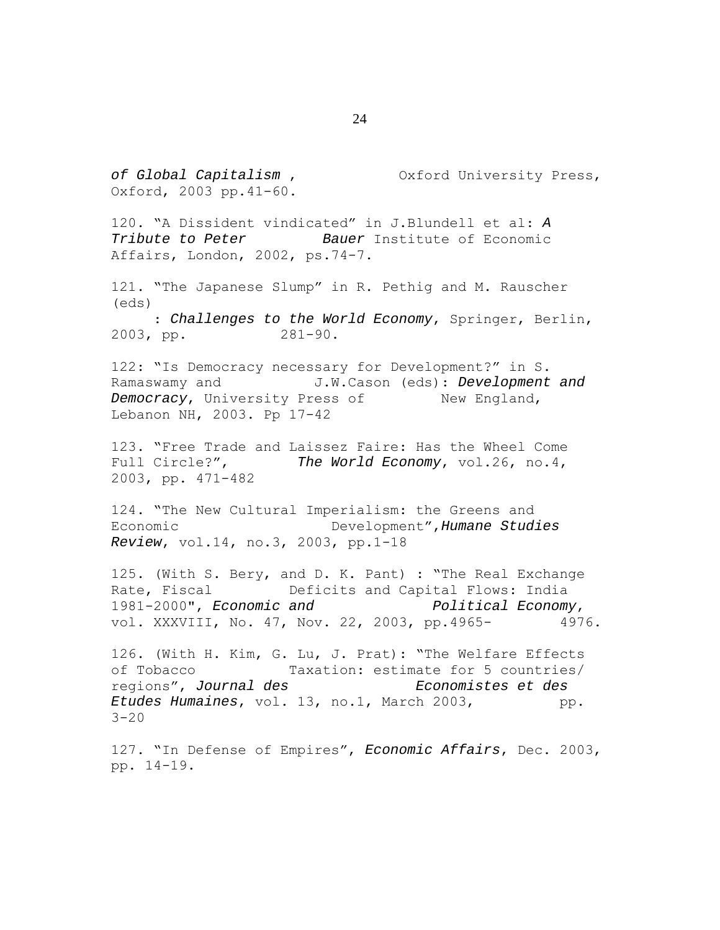*of Global Capitalism* , Oxford University Press, Oxford, 2003 pp.41-60. 120. "A Dissident vindicated" in J.Blundell et al: *A Tribute to Peter Bauer* Institute of Economic Affairs, London, 2002, ps.74-7. 121. "The Japanese Slump" in R. Pethig and M. Rauscher (eds) : *Challenges to the World Economy*, Springer, Berlin, 2003, pp. 281-90. 122: "Is Democracy necessary for Development?" in S. Ramaswamy and J.W.Cason (eds): *Development and Democracy*, University Press of New England, Lebanon NH, 2003. Pp 17-42 123. "Free Trade and Laissez Faire: Has the Wheel Come Full Circle?", *The World Economy*, vol.26, no.4, 2003, pp. 471-482 124. "The New Cultural Imperialism: the Greens and Economic Development",*Humane Studies Review*, vol.14, no.3, 2003, pp.1-18 125. (With S. Bery, and D. K. Pant) : "The Real Exchange Rate, Fiscal **Deficits** and Capital Flows: India 1981-2000", *Economic and Political Economy*, vol. XXXVIII, No. 47, Nov. 22, 2003, pp.4965- 4976. 126. (With H. Kim, G. Lu, J. Prat): "The Welfare Effects of Tobacco Taxation: estimate for 5 countries/ regions", *Journal des Economistes et des Etudes Humaines*, vol. 13, no.1, March 2003, pp.  $3 - 20$ 127. "In Defense of Empires", *Economic Affairs*, Dec. 2003, pp. 14-19.

24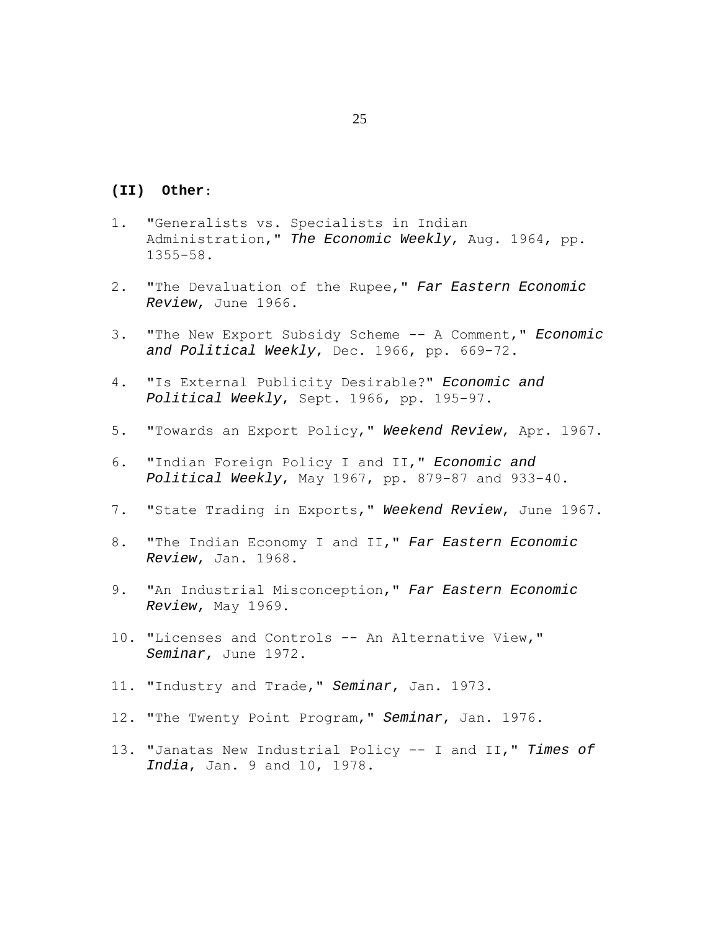### **(II) Other**:

- 1. "Generalists vs. Specialists in Indian Administration," *The Economic Weekly*, Aug. 1964, pp. 1355-58.
- 2. "The Devaluation of the Rupee," *Far Eastern Economic Review*, June 1966.
- 3. "The New Export Subsidy Scheme -- A Comment," *Economic and Political Weekly*, Dec. 1966, pp. 669-72.
- 4. "Is External Publicity Desirable?" *Economic and Political Weekly*, Sept. 1966, pp. 195-97.
- 5. "Towards an Export Policy," *Weekend Review*, Apr. 1967.
- 6. "Indian Foreign Policy I and II," *Economic and Political Weekly*, May 1967, pp. 879-87 and 933-40.
- 7. "State Trading in Exports," *Weekend Review*, June 1967.
- 8. "The Indian Economy I and II," *Far Eastern Economic Review*, Jan. 1968.
- 9. "An Industrial Misconception," *Far Eastern Economic Review*, May 1969.
- 10. "Licenses and Controls -- An Alternative View," *Seminar*, June 1972.
- 11. "Industry and Trade," *Seminar*, Jan. 1973.
- 12. "The Twenty Point Program," *Seminar*, Jan. 1976.
- 13. "Janatas New Industrial Policy -- I and II," *Times of India*, Jan. 9 and 10, 1978.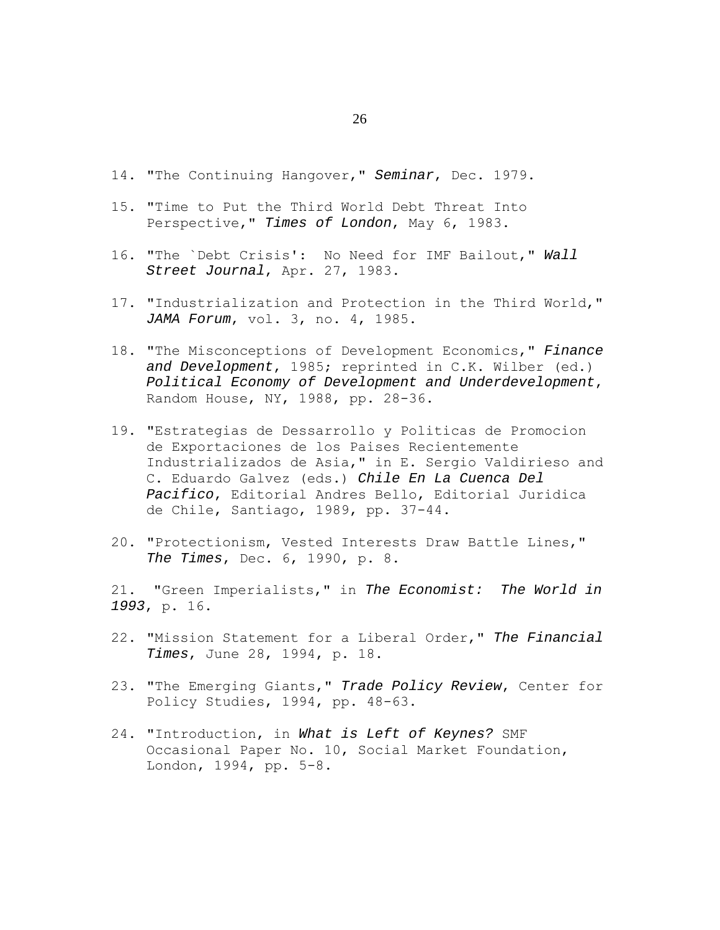- 14. "The Continuing Hangover," *Seminar*, Dec. 1979.
- 15. "Time to Put the Third World Debt Threat Into Perspective," *Times of London*, May 6, 1983.
- 16. "The `Debt Crisis': No Need for IMF Bailout," *Wall Street Journal*, Apr. 27, 1983.
- 17. "Industrialization and Protection in the Third World," *JAMA Forum*, vol. 3, no. 4, 1985.
- 18. "The Misconceptions of Development Economics," *Finance and Development*, 1985; reprinted in C.K. Wilber (ed.) *Political Economy of Development and Underdevelopment*, Random House, NY, 1988, pp. 28-36.
- 19. "Estrategias de Dessarrollo y Politicas de Promocion de Exportaciones de los Paises Recientemente Industrializados de Asia," in E. Sergio Valdirieso and C. Eduardo Galvez (eds.) *Chile En La Cuenca Del Pacifico*, Editorial Andres Bello, Editorial Juridica de Chile, Santiago, 1989, pp. 37-44.
- 20. "Protectionism, Vested Interests Draw Battle Lines," *The Times*, Dec. 6, 1990, p. 8.

21. "Green Imperialists," in *The Economist: The World in 1993*, p. 16.

- 22. "Mission Statement for a Liberal Order," *The Financial Times*, June 28, 1994, p. 18.
- 23. "The Emerging Giants," *Trade Policy Review*, Center for Policy Studies, 1994, pp. 48-63.
- 24. "Introduction, in *What is Left of Keynes?* SMF Occasional Paper No. 10, Social Market Foundation, London, 1994, pp. 5-8.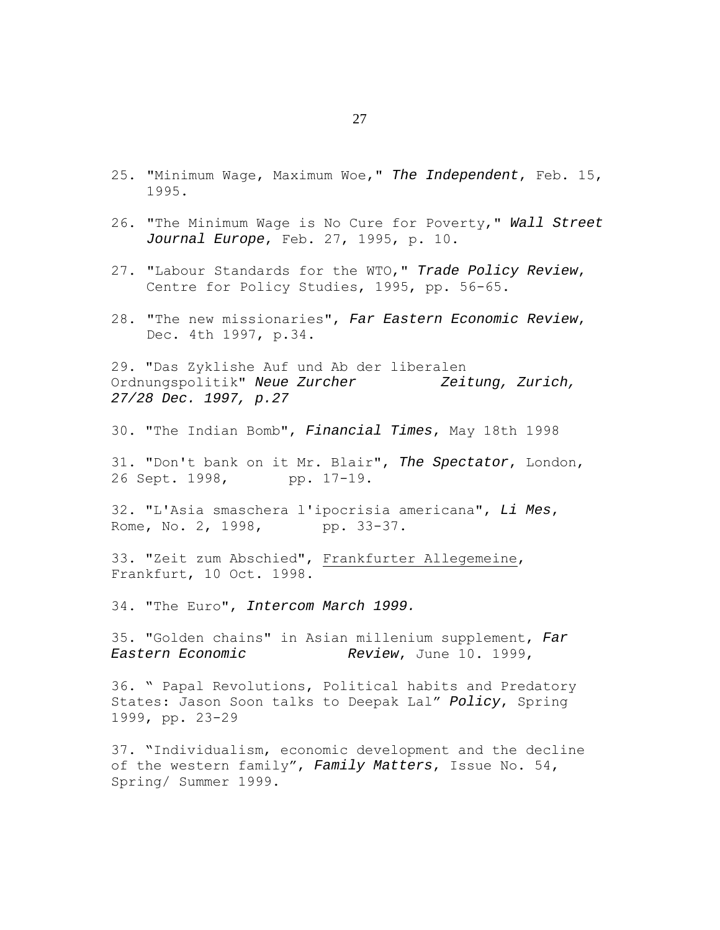- 25. "Minimum Wage, Maximum Woe," *The Independent*, Feb. 15, 1995.
- 26. "The Minimum Wage is No Cure for Poverty," *Wall Street Journal Europe*, Feb. 27, 1995, p. 10.
- 27. "Labour Standards for the WTO," *Trade Policy Review*, Centre for Policy Studies, 1995, pp. 56-65.
- 28. "The new missionaries", *Far Eastern Economic Review*, Dec. 4th 1997, p.34.

29. "Das Zyklishe Auf und Ab der liberalen Ordnungspolitik" *Neue Zurcher Zeitung, Zurich, 27/28 Dec. 1997, p.27*

30. "The Indian Bomb", *Financial Times*, May 18th 1998

31. "Don't bank on it Mr. Blair", *The Spectator*, London, 26 Sept. 1998, pp. 17-19.

32. "L'Asia smaschera l'ipocrisia americana", *Li Mes*, Rome, No. 2, 1998, pp. 33-37.

33. "Zeit zum Abschied", Frankfurter Allegemeine, Frankfurt, 10 Oct. 1998.

34. "The Euro", *Intercom March 1999.*

35. "Golden chains" in Asian millenium supplement, *Far Eastern Economic Review*, June 10. 1999,

36. " Papal Revolutions, Political habits and Predatory States: Jason Soon talks to Deepak Lal" *Policy*, Spring 1999, pp. 23-29

37. "Individualism, economic development and the decline of the western family", *Family Matters*, Issue No. 54, Spring/ Summer 1999.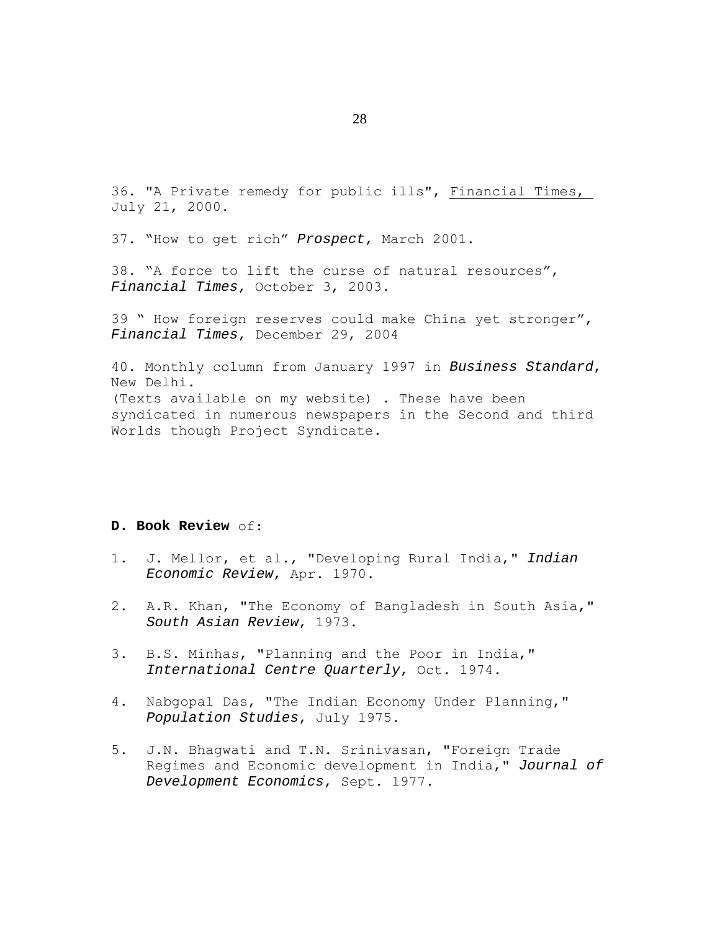36. "A Private remedy for public ills", Financial Times, July 21, 2000.

37. "How to get rich" *Prospect*, March 2001.

38. "A force to lift the curse of natural resources", *Financial Times*, October 3, 2003.

39 " How foreign reserves could make China yet stronger", *Financial Times*, December 29, 2004

40. Monthly column from January 1997 in *Business Standard*, New Delhi. (Texts available on my website) . These have been syndicated in numerous newspapers in the Second and third Worlds though Project Syndicate.

## **D. Book Review** of:

- 1. J. Mellor, et al., "Developing Rural India," *Indian Economic Review*, Apr. 1970.
- 2. A.R. Khan, "The Economy of Bangladesh in South Asia," *South Asian Review*, 1973.
- 3. B.S. Minhas, "Planning and the Poor in India," *International Centre Quarterly*, Oct. 1974.
- 4. Nabgopal Das, "The Indian Economy Under Planning," *Population Studies*, July 1975.
- 5. J.N. Bhagwati and T.N. Srinivasan, "Foreign Trade Regimes and Economic development in India," *Journal of Development Economics*, Sept. 1977.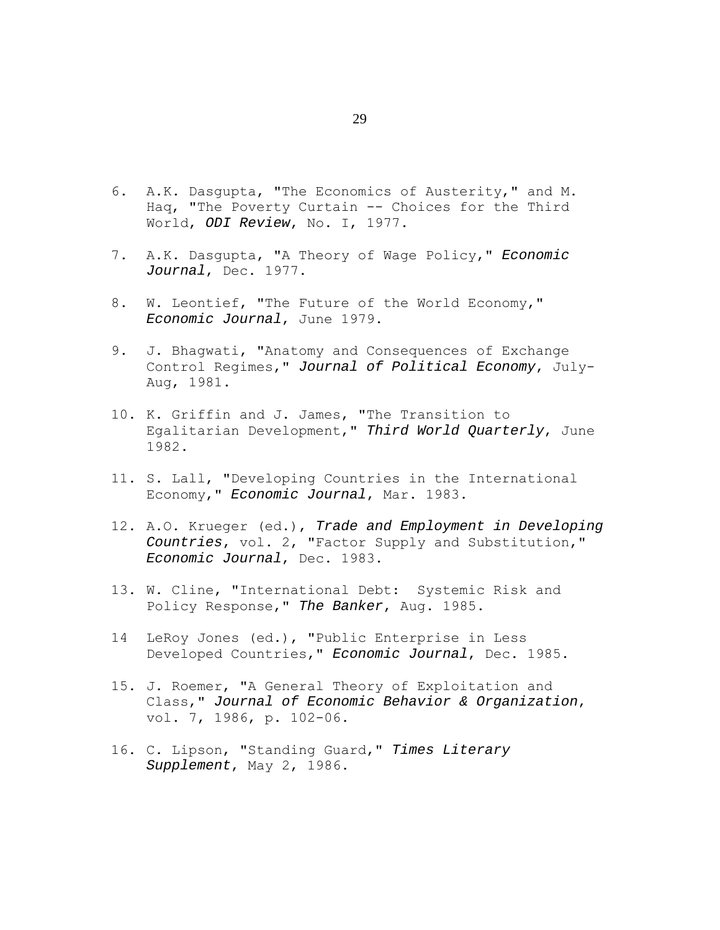- 6. A.K. Dasgupta, "The Economics of Austerity," and M. Haq, "The Poverty Curtain -- Choices for the Third World, *ODI Review*, No. I, 1977.
- 7. A.K. Dasgupta, "A Theory of Wage Policy," *Economic Journal*, Dec. 1977.
- 8. W. Leontief, "The Future of the World Economy," *Economic Journal*, June 1979.
- 9. J. Bhagwati, "Anatomy and Consequences of Exchange Control Regimes," *Journal of Political Economy*, July-Aug, 1981.
- 10. K. Griffin and J. James, "The Transition to Egalitarian Development," *Third World Quarterly*, June 1982.
- 11. S. Lall, "Developing Countries in the International Economy," *Economic Journal*, Mar. 1983.
- 12. A.O. Krueger (ed.), *Trade and Employment in Developing Countries*, vol. 2, "Factor Supply and Substitution," *Economic Journal*, Dec. 1983.
- 13. W. Cline, "International Debt: Systemic Risk and Policy Response," *The Banker*, Aug. 1985.
- 14 LeRoy Jones (ed.), "Public Enterprise in Less Developed Countries," *Economic Journal*, Dec. 1985.
- 15. J. Roemer, "A General Theory of Exploitation and Class," *Journal of Economic Behavior & Organization*, vol. 7, 1986, p. 102-06.
- 16. C. Lipson, "Standing Guard," *Times Literary Supplement*, May 2, 1986.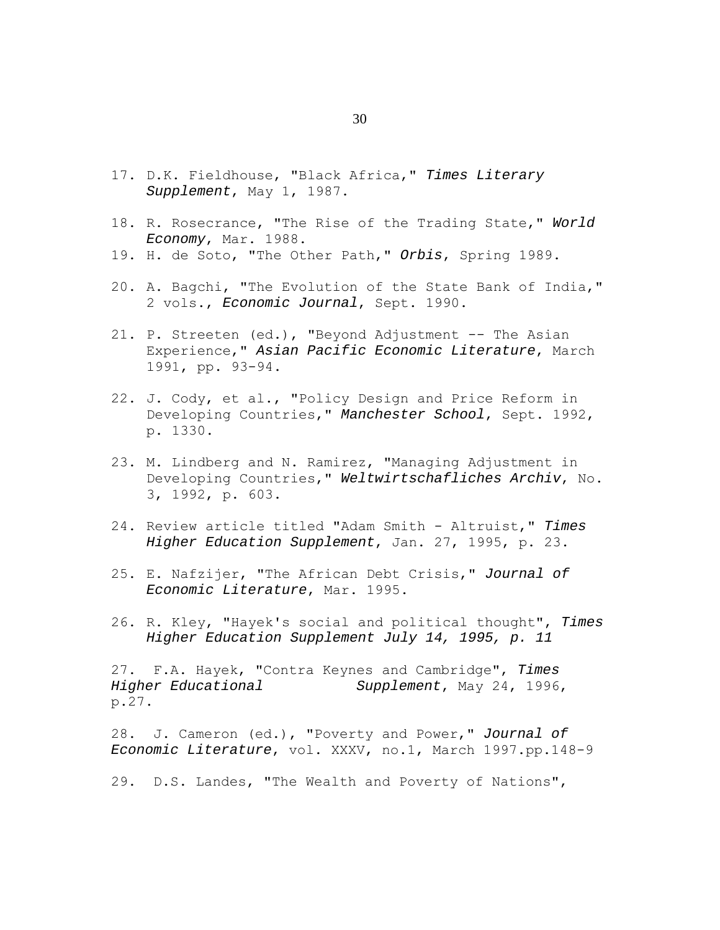- 17. D.K. Fieldhouse, "Black Africa," *Times Literary Supplement*, May 1, 1987.
- 18. R. Rosecrance, "The Rise of the Trading State," *World Economy*, Mar. 1988.
- 19. H. de Soto, "The Other Path," *Orbis*, Spring 1989.
- 20. A. Bagchi, "The Evolution of the State Bank of India," 2 vols., *Economic Journal*, Sept. 1990.
- 21. P. Streeten (ed.), "Beyond Adjustment -- The Asian Experience," *Asian Pacific Economic Literature*, March 1991, pp. 93-94.
- 22. J. Cody, et al., "Policy Design and Price Reform in Developing Countries," *Manchester School*, Sept. 1992, p. 1330.
- 23. M. Lindberg and N. Ramirez, "Managing Adjustment in Developing Countries," *Weltwirtschafliches Archiv*, No. 3, 1992, p. 603.
- 24. Review article titled "Adam Smith Altruist," *Times Higher Education Supplement*, Jan. 27, 1995, p. 23.
- 25. E. Nafzijer, "The African Debt Crisis," *Journal of Economic Literature*, Mar. 1995.
- 26. R. Kley, "Hayek's social and political thought", *Times Higher Education Supplement July 14, 1995, p. 11*

27. F.A. Hayek, "Contra Keynes and Cambridge", *Times Higher Educational Supplement*, May 24, 1996, p.27.

28. J. Cameron (ed.), "Poverty and Power," *Journal of Economic Literature*, vol. XXXV, no.1, March 1997.pp.148-9

29. D.S. Landes, "The Wealth and Poverty of Nations",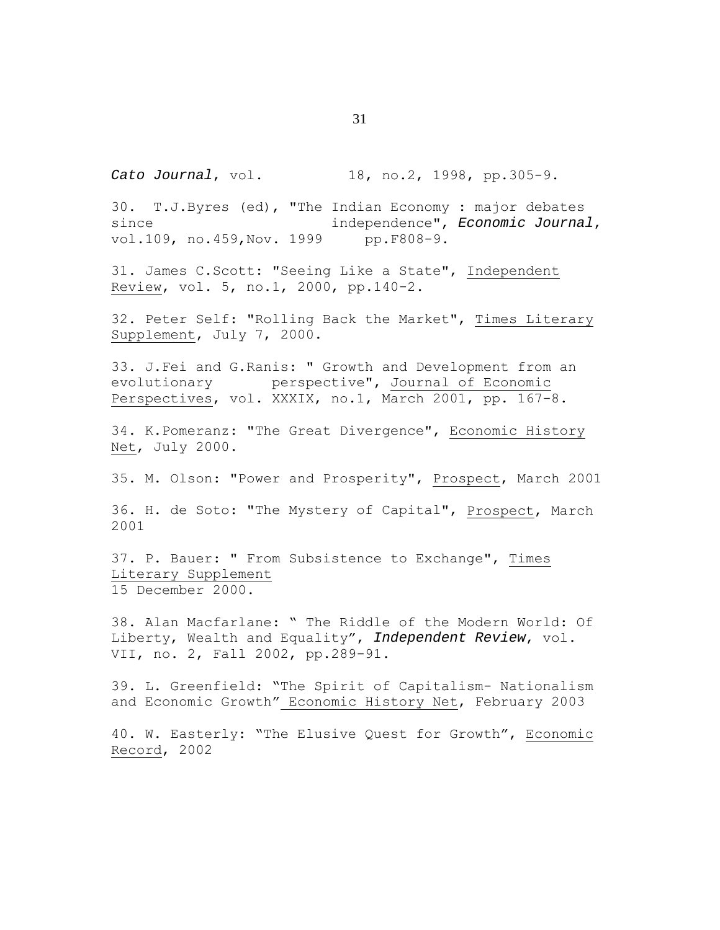*Cato Journal*, vol. 18, no.2, 1998, pp.305-9.

30. T.J.Byres (ed), "The Indian Economy : major debates since independence", *Economic Journal*, vol.109, no.459, Nov. 1999 pp.F808-9.

31. James C.Scott: "Seeing Like a State", Independent Review, vol. 5, no.1, 2000, pp.140-2.

32. Peter Self: "Rolling Back the Market", Times Literary Supplement, July 7, 2000.

33. J.Fei and G.Ranis: " Growth and Development from an evolutionary perspective", Journal of Economic Perspectives, vol. XXXIX, no.1, March 2001, pp. 167-8.

34. K.Pomeranz: "The Great Divergence", Economic History Net, July 2000.

35. M. Olson: "Power and Prosperity", Prospect, March 2001

36. H. de Soto: "The Mystery of Capital", Prospect, March 2001

37. P. Bauer: " From Subsistence to Exchange", Times Literary Supplement 15 December 2000.

38. Alan Macfarlane: " The Riddle of the Modern World: Of Liberty, Wealth and Equality", *Independent Review*, vol. VII, no. 2, Fall 2002, pp.289-91.

39. L. Greenfield: "The Spirit of Capitalism- Nationalism and Economic Growth" Economic History Net, February 2003

40. W. Easterly: "The Elusive Quest for Growth", Economic Record, 2002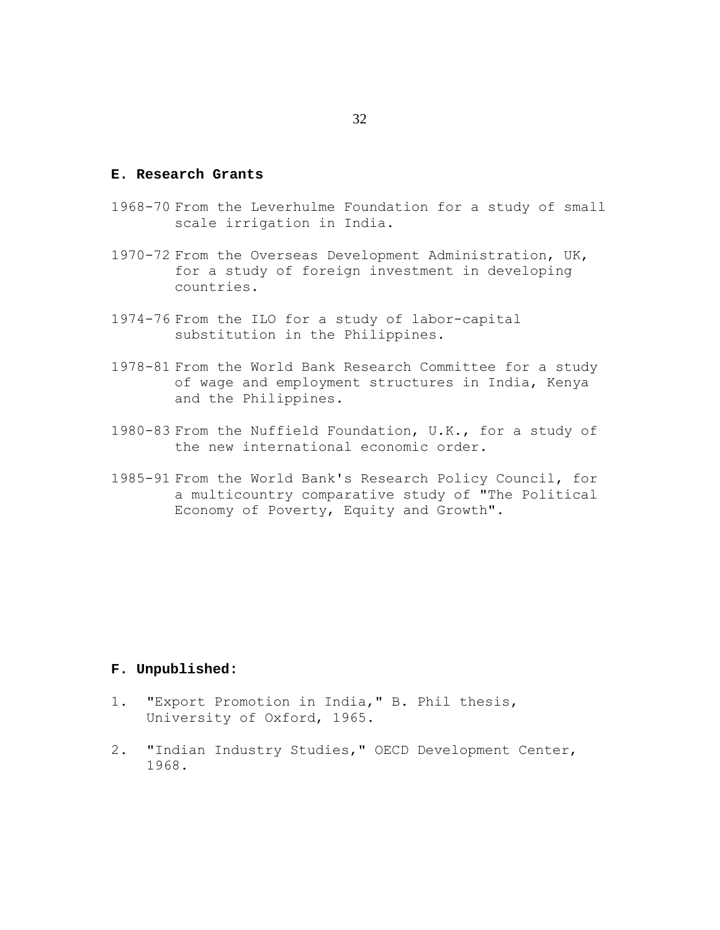# **E. Research Grants**

- 1968-70 From the Leverhulme Foundation for a study of small scale irrigation in India.
- 1970-72 From the Overseas Development Administration, UK, for a study of foreign investment in developing countries.
- 1974-76 From the ILO for a study of labor-capital substitution in the Philippines.
- 1978-81 From the World Bank Research Committee for a study of wage and employment structures in India, Kenya and the Philippines.
- 1980-83 From the Nuffield Foundation, U.K., for a study of the new international economic order.
- 1985-91 From the World Bank's Research Policy Council, for a multicountry comparative study of "The Political Economy of Poverty, Equity and Growth".

### **F. Unpublished:**

- 1. "Export Promotion in India," B. Phil thesis, University of Oxford, 1965.
- 2. "Indian Industry Studies," OECD Development Center, 1968.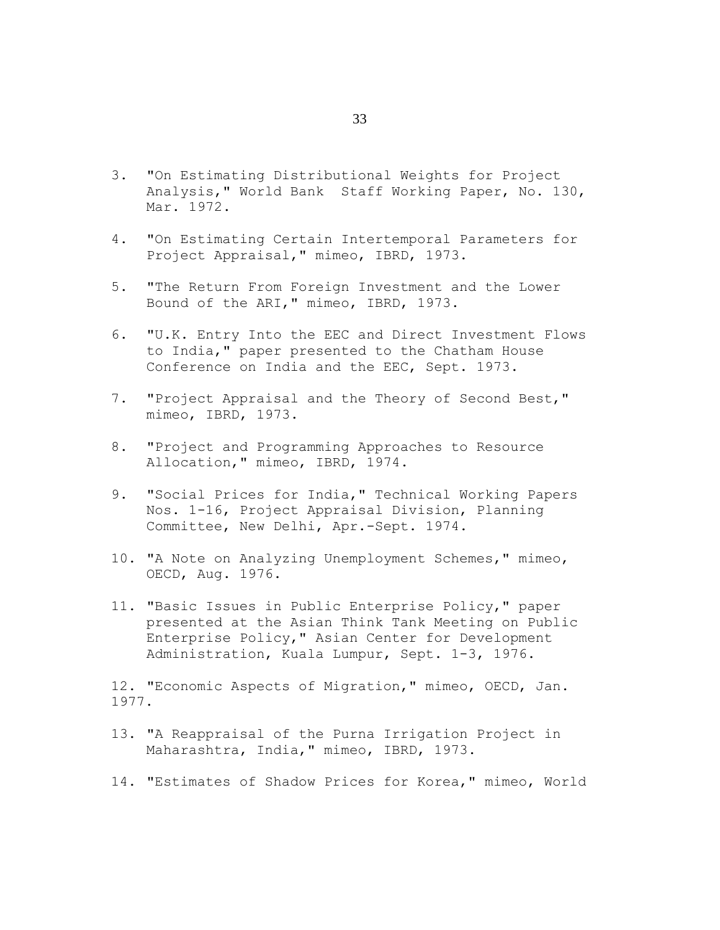- 3. "On Estimating Distributional Weights for Project Analysis," World Bank Staff Working Paper, No. 130, Mar. 1972.
- 4. "On Estimating Certain Intertemporal Parameters for Project Appraisal," mimeo, IBRD, 1973.
- 5. "The Return From Foreign Investment and the Lower Bound of the ARI," mimeo, IBRD, 1973.
- 6. "U.K. Entry Into the EEC and Direct Investment Flows to India," paper presented to the Chatham House Conference on India and the EEC, Sept. 1973.
- 7. "Project Appraisal and the Theory of Second Best," mimeo, IBRD, 1973.
- 8. "Project and Programming Approaches to Resource Allocation," mimeo, IBRD, 1974.
- 9. "Social Prices for India," Technical Working Papers Nos. 1-16, Project Appraisal Division, Planning Committee, New Delhi, Apr.-Sept. 1974.
- 10. "A Note on Analyzing Unemployment Schemes," mimeo, OECD, Aug. 1976.
- 11. "Basic Issues in Public Enterprise Policy," paper presented at the Asian Think Tank Meeting on Public Enterprise Policy," Asian Center for Development Administration, Kuala Lumpur, Sept. 1-3, 1976.

12. "Economic Aspects of Migration," mimeo, OECD, Jan. 1977.

- 13. "A Reappraisal of the Purna Irrigation Project in Maharashtra, India," mimeo, IBRD, 1973.
- 14. "Estimates of Shadow Prices for Korea," mimeo, World